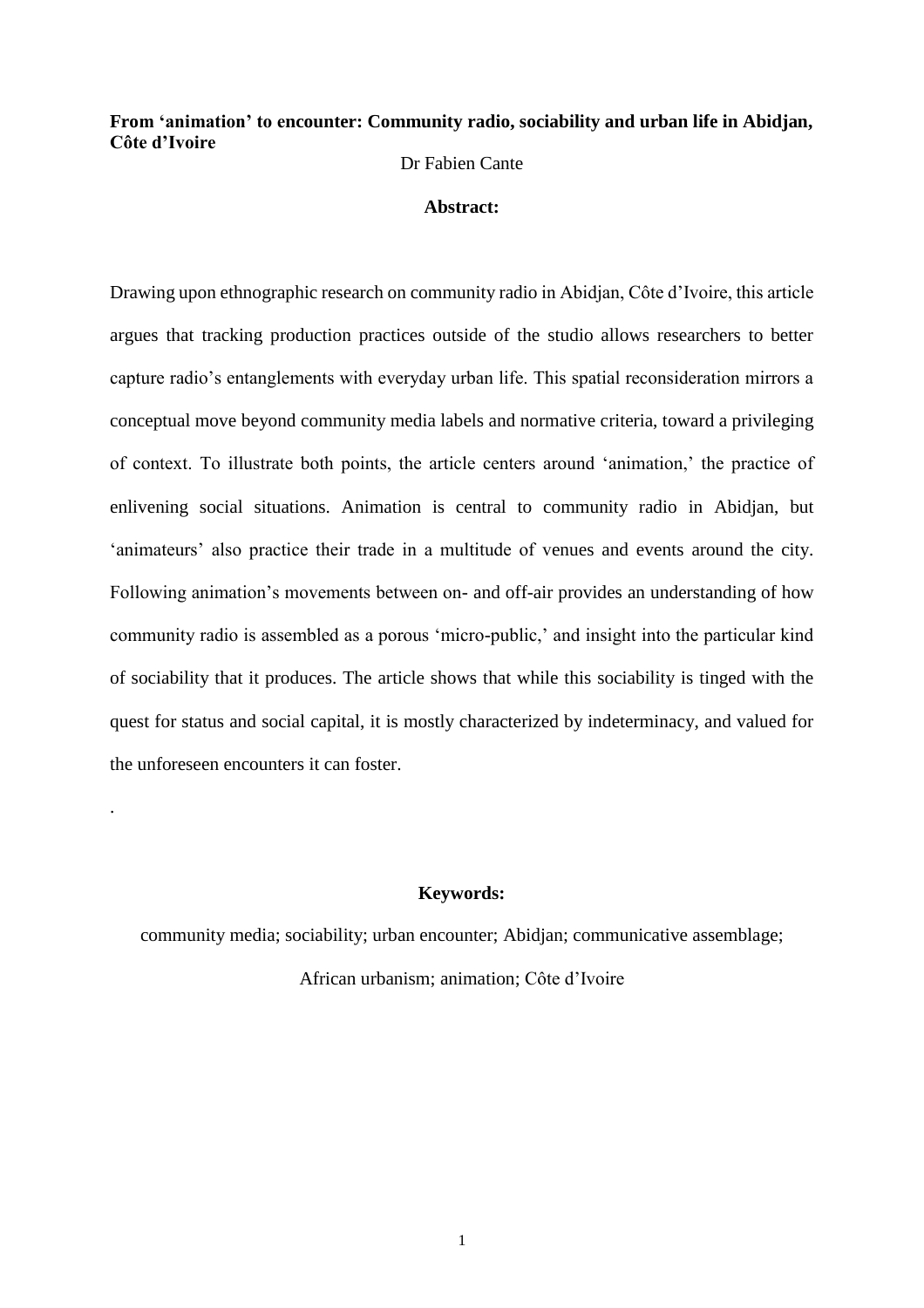## **From 'animation' to encounter: Community radio, sociability and urban life in Abidjan, Côte d'Ivoire**

Dr Fabien Cante

### **Abstract:**

Drawing upon ethnographic research on community radio in Abidjan, Côte d'Ivoire, this article argues that tracking production practices outside of the studio allows researchers to better capture radio's entanglements with everyday urban life. This spatial reconsideration mirrors a conceptual move beyond community media labels and normative criteria, toward a privileging of context. To illustrate both points, the article centers around 'animation,' the practice of enlivening social situations. Animation is central to community radio in Abidjan, but 'animateurs' also practice their trade in a multitude of venues and events around the city. Following animation's movements between on- and off-air provides an understanding of how community radio is assembled as a porous 'micro-public,' and insight into the particular kind of sociability that it produces. The article shows that while this sociability is tinged with the quest for status and social capital, it is mostly characterized by indeterminacy, and valued for the unforeseen encounters it can foster.

### **Keywords:**

.

community media; sociability; urban encounter; Abidjan; communicative assemblage; African urbanism; animation; Côte d'Ivoire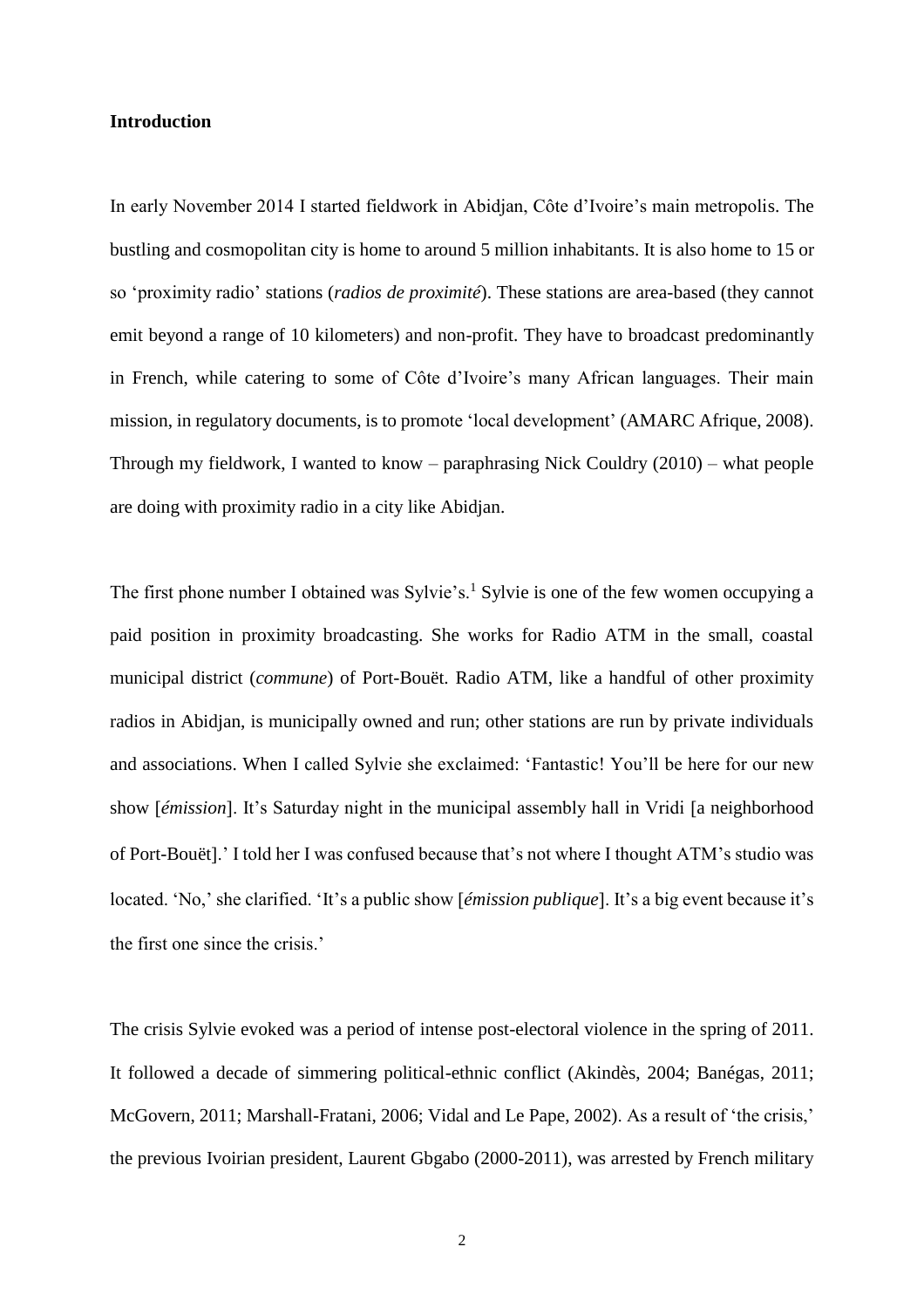### **Introduction**

In early November 2014 I started fieldwork in Abidjan, Côte d'Ivoire's main metropolis. The bustling and cosmopolitan city is home to around 5 million inhabitants. It is also home to 15 or so 'proximity radio' stations (*radios de proximité*). These stations are area-based (they cannot emit beyond a range of 10 kilometers) and non-profit. They have to broadcast predominantly in French, while catering to some of Côte d'Ivoire's many African languages. Their main mission, in regulatory documents, is to promote 'local development' (AMARC Afrique, 2008). Through my fieldwork, I wanted to know – paraphrasing Nick Couldry (2010) – what people are doing with proximity radio in a city like Abidjan.

The first phone number I obtained was Sylvie's.<sup>1</sup> Sylvie is one of the few women occupying a paid position in proximity broadcasting. She works for Radio ATM in the small, coastal municipal district (*commune*) of Port-Bouët. Radio ATM, like a handful of other proximity radios in Abidjan, is municipally owned and run; other stations are run by private individuals and associations. When I called Sylvie she exclaimed: 'Fantastic! You'll be here for our new show *[émission]*. It's Saturday night in the municipal assembly hall in Vridi [a neighborhood of Port-Bouët].' I told her I was confused because that's not where I thought ATM's studio was located. 'No,' she clarified. 'It's a public show *[émission publique]*. It's a big event because it's the first one since the crisis.'

The crisis Sylvie evoked was a period of intense post-electoral violence in the spring of 2011. It followed a decade of simmering political-ethnic conflict (Akindès, 2004; Banégas, 2011; McGovern, 2011; Marshall-Fratani, 2006; Vidal and Le Pape, 2002). As a result of 'the crisis,' the previous Ivoirian president, Laurent Gbgabo (2000-2011), was arrested by French military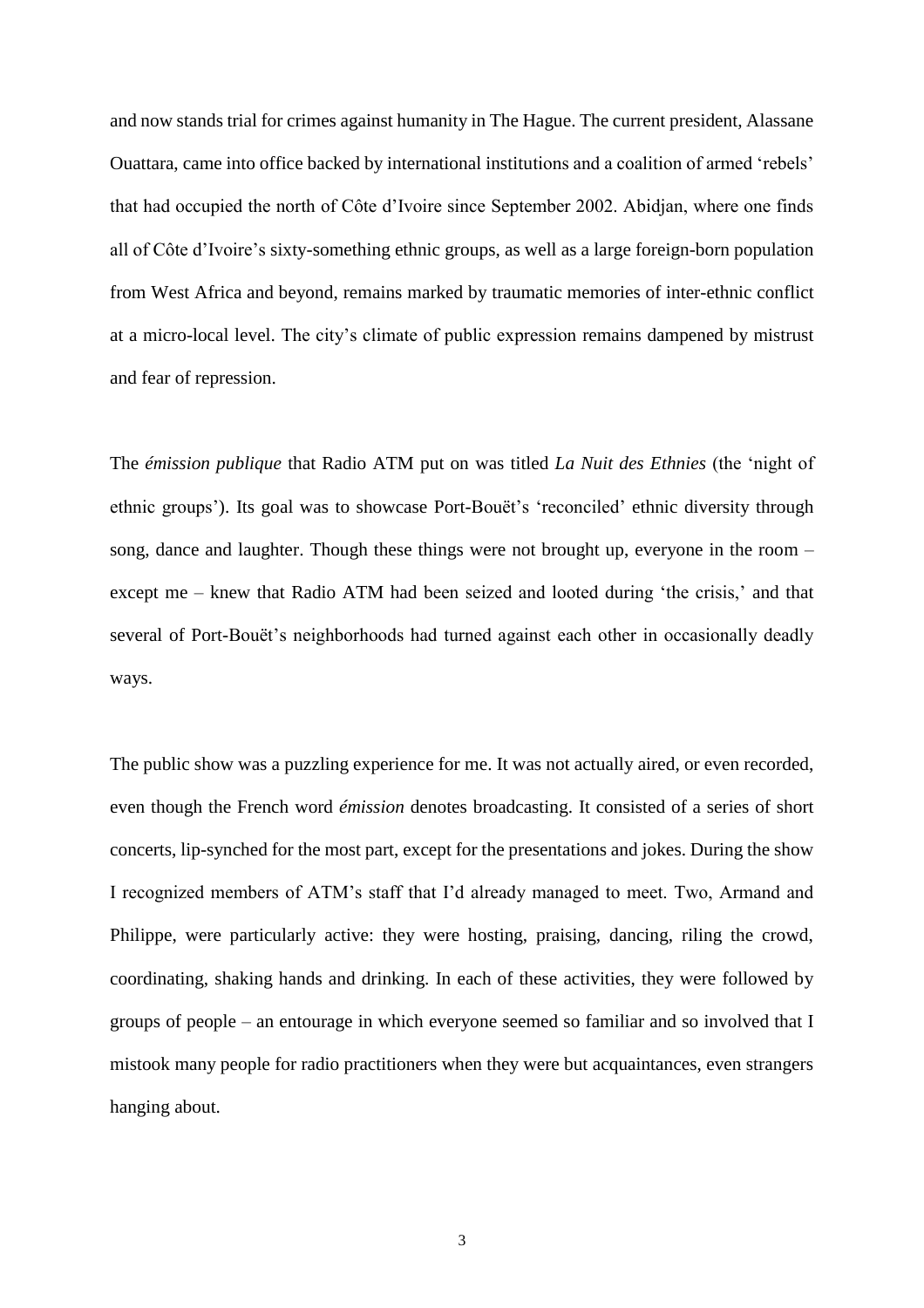and now stands trial for crimes against humanity in The Hague. The current president, Alassane Ouattara, came into office backed by international institutions and a coalition of armed 'rebels' that had occupied the north of Côte d'Ivoire since September 2002. Abidjan, where one finds all of Côte d'Ivoire's sixty-something ethnic groups, as well as a large foreign-born population from West Africa and beyond, remains marked by traumatic memories of inter-ethnic conflict at a micro-local level. The city's climate of public expression remains dampened by mistrust and fear of repression.

The *émission publique* that Radio ATM put on was titled *La Nuit des Ethnies* (the 'night of ethnic groups'). Its goal was to showcase Port-Bouët's 'reconciled' ethnic diversity through song, dance and laughter. Though these things were not brought up, everyone in the room – except me – knew that Radio ATM had been seized and looted during 'the crisis,' and that several of Port-Bouët's neighborhoods had turned against each other in occasionally deadly ways.

The public show was a puzzling experience for me. It was not actually aired, or even recorded, even though the French word *émission* denotes broadcasting. It consisted of a series of short concerts, lip-synched for the most part, except for the presentations and jokes. During the show I recognized members of ATM's staff that I'd already managed to meet. Two, Armand and Philippe, were particularly active: they were hosting, praising, dancing, riling the crowd, coordinating, shaking hands and drinking. In each of these activities, they were followed by groups of people – an entourage in which everyone seemed so familiar and so involved that I mistook many people for radio practitioners when they were but acquaintances, even strangers hanging about.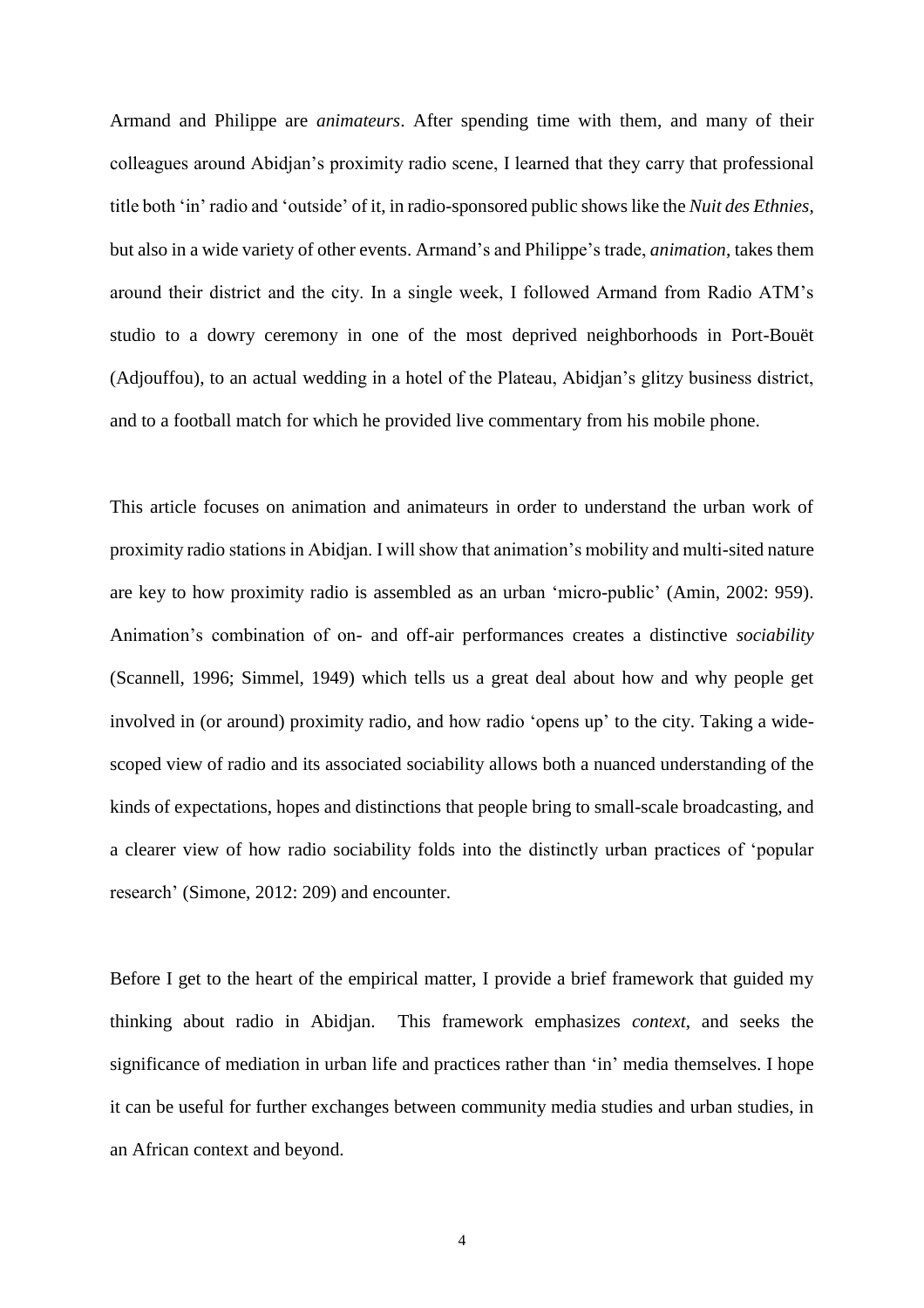Armand and Philippe are *animateurs*. After spending time with them, and many of their colleagues around Abidjan's proximity radio scene, I learned that they carry that professional title both 'in' radio and 'outside' of it, in radio-sponsored public shows like the *Nuit des Ethnies*, but also in a wide variety of other events. Armand's and Philippe's trade, *animation*, takes them around their district and the city. In a single week, I followed Armand from Radio ATM's studio to a dowry ceremony in one of the most deprived neighborhoods in Port-Bouët (Adjouffou), to an actual wedding in a hotel of the Plateau, Abidjan's glitzy business district, and to a football match for which he provided live commentary from his mobile phone.

This article focuses on animation and animateurs in order to understand the urban work of proximity radio stations in Abidjan. I will show that animation's mobility and multi-sited nature are key to how proximity radio is assembled as an urban 'micro-public' (Amin, 2002: 959). Animation's combination of on- and off-air performances creates a distinctive *sociability*  (Scannell, 1996; Simmel, 1949) which tells us a great deal about how and why people get involved in (or around) proximity radio, and how radio 'opens up' to the city. Taking a widescoped view of radio and its associated sociability allows both a nuanced understanding of the kinds of expectations, hopes and distinctions that people bring to small-scale broadcasting, and a clearer view of how radio sociability folds into the distinctly urban practices of 'popular research' (Simone, 2012: 209) and encounter.

Before I get to the heart of the empirical matter, I provide a brief framework that guided my thinking about radio in Abidjan. This framework emphasizes *context*, and seeks the significance of mediation in urban life and practices rather than 'in' media themselves. I hope it can be useful for further exchanges between community media studies and urban studies, in an African context and beyond.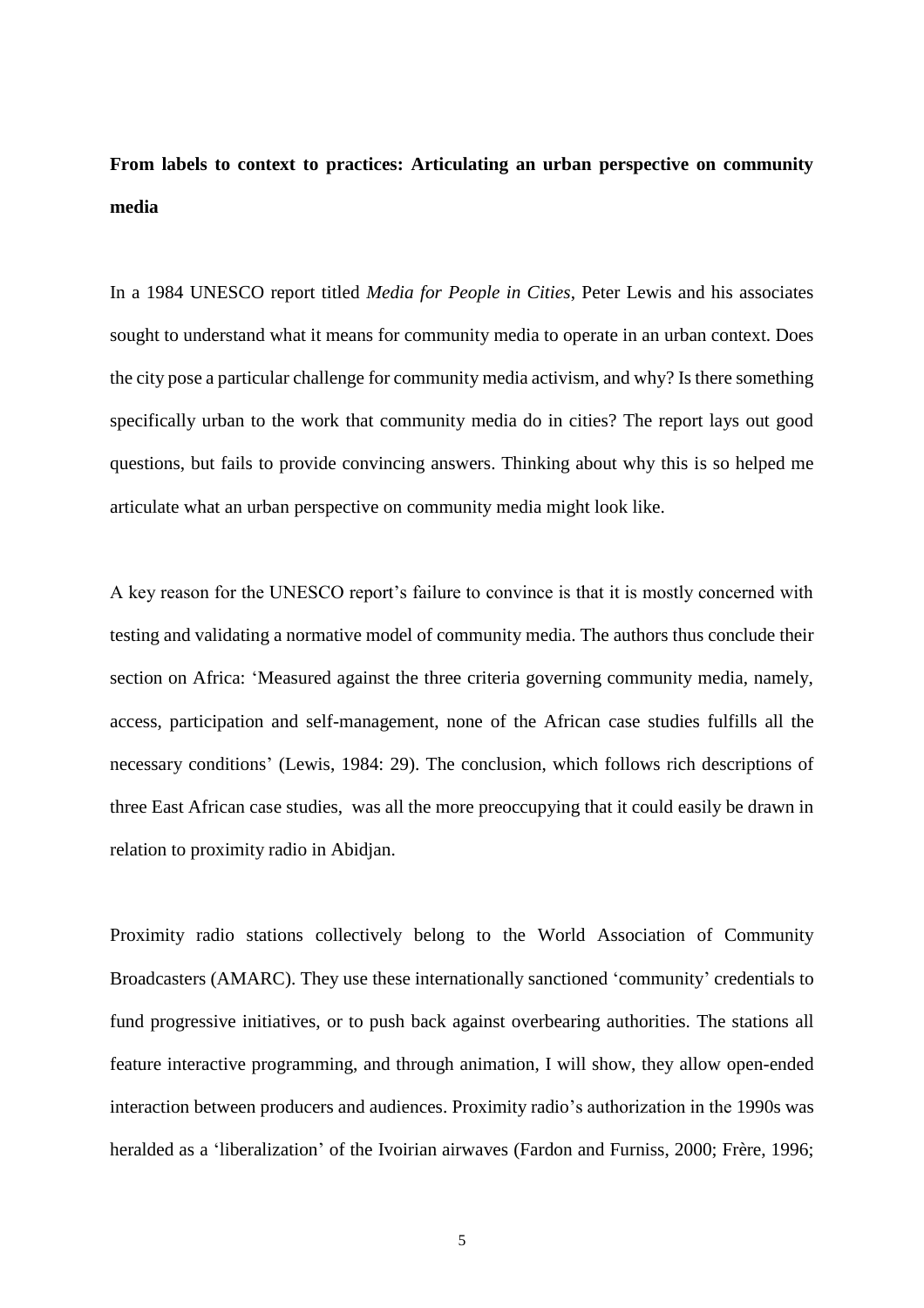# **From labels to context to practices: Articulating an urban perspective on community media**

In a 1984 UNESCO report titled *Media for People in Cities*, Peter Lewis and his associates sought to understand what it means for community media to operate in an urban context. Does the city pose a particular challenge for community media activism, and why? Is there something specifically urban to the work that community media do in cities? The report lays out good questions, but fails to provide convincing answers. Thinking about why this is so helped me articulate what an urban perspective on community media might look like.

A key reason for the UNESCO report's failure to convince is that it is mostly concerned with testing and validating a normative model of community media. The authors thus conclude their section on Africa: 'Measured against the three criteria governing community media, namely, access, participation and self-management, none of the African case studies fulfills all the necessary conditions' (Lewis, 1984: 29). The conclusion, which follows rich descriptions of three East African case studies, was all the more preoccupying that it could easily be drawn in relation to proximity radio in Abidjan.

Proximity radio stations collectively belong to the World Association of Community Broadcasters (AMARC). They use these internationally sanctioned 'community' credentials to fund progressive initiatives, or to push back against overbearing authorities. The stations all feature interactive programming, and through animation, I will show, they allow open-ended interaction between producers and audiences. Proximity radio's authorization in the 1990s was heralded as a 'liberalization' of the Ivoirian airwaves (Fardon and Furniss, 2000; Frère, 1996;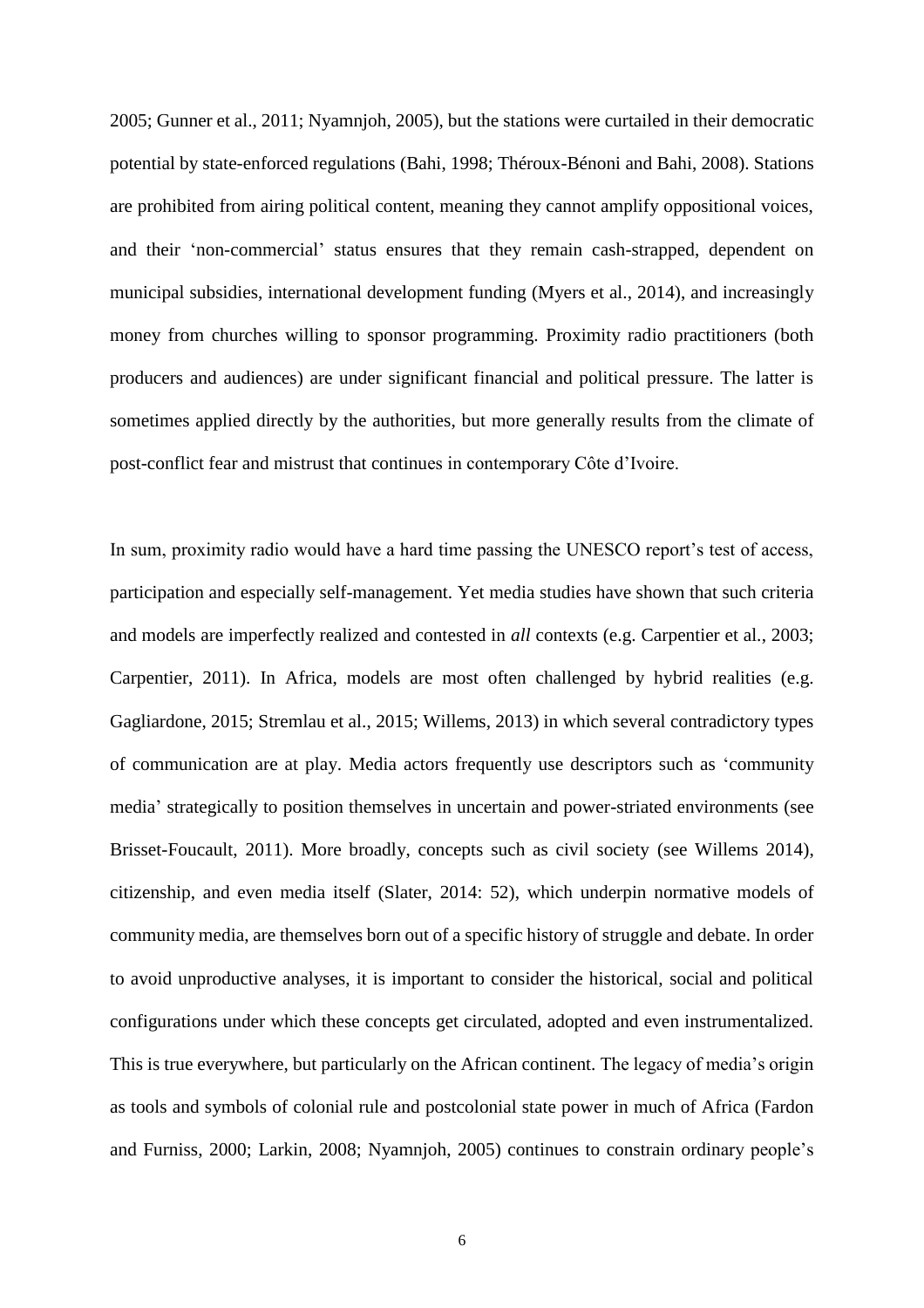2005; Gunner et al., 2011; Nyamnjoh, 2005), but the stations were curtailed in their democratic potential by state-enforced regulations (Bahi, 1998; Théroux-Bénoni and Bahi, 2008). Stations are prohibited from airing political content, meaning they cannot amplify oppositional voices, and their 'non-commercial' status ensures that they remain cash-strapped, dependent on municipal subsidies, international development funding (Myers et al., 2014), and increasingly money from churches willing to sponsor programming. Proximity radio practitioners (both producers and audiences) are under significant financial and political pressure. The latter is sometimes applied directly by the authorities, but more generally results from the climate of post-conflict fear and mistrust that continues in contemporary Côte d'Ivoire.

In sum, proximity radio would have a hard time passing the UNESCO report's test of access, participation and especially self-management. Yet media studies have shown that such criteria and models are imperfectly realized and contested in *all* contexts (e.g. Carpentier et al., 2003; Carpentier, 2011). In Africa, models are most often challenged by hybrid realities (e.g. Gagliardone, 2015; Stremlau et al., 2015; Willems, 2013) in which several contradictory types of communication are at play. Media actors frequently use descriptors such as 'community media' strategically to position themselves in uncertain and power-striated environments (see Brisset-Foucault, 2011). More broadly, concepts such as civil society (see Willems 2014), citizenship, and even media itself (Slater, 2014: 52), which underpin normative models of community media, are themselves born out of a specific history of struggle and debate. In order to avoid unproductive analyses, it is important to consider the historical, social and political configurations under which these concepts get circulated, adopted and even instrumentalized. This is true everywhere, but particularly on the African continent. The legacy of media's origin as tools and symbols of colonial rule and postcolonial state power in much of Africa (Fardon and Furniss, 2000; Larkin, 2008; Nyamnjoh, 2005) continues to constrain ordinary people's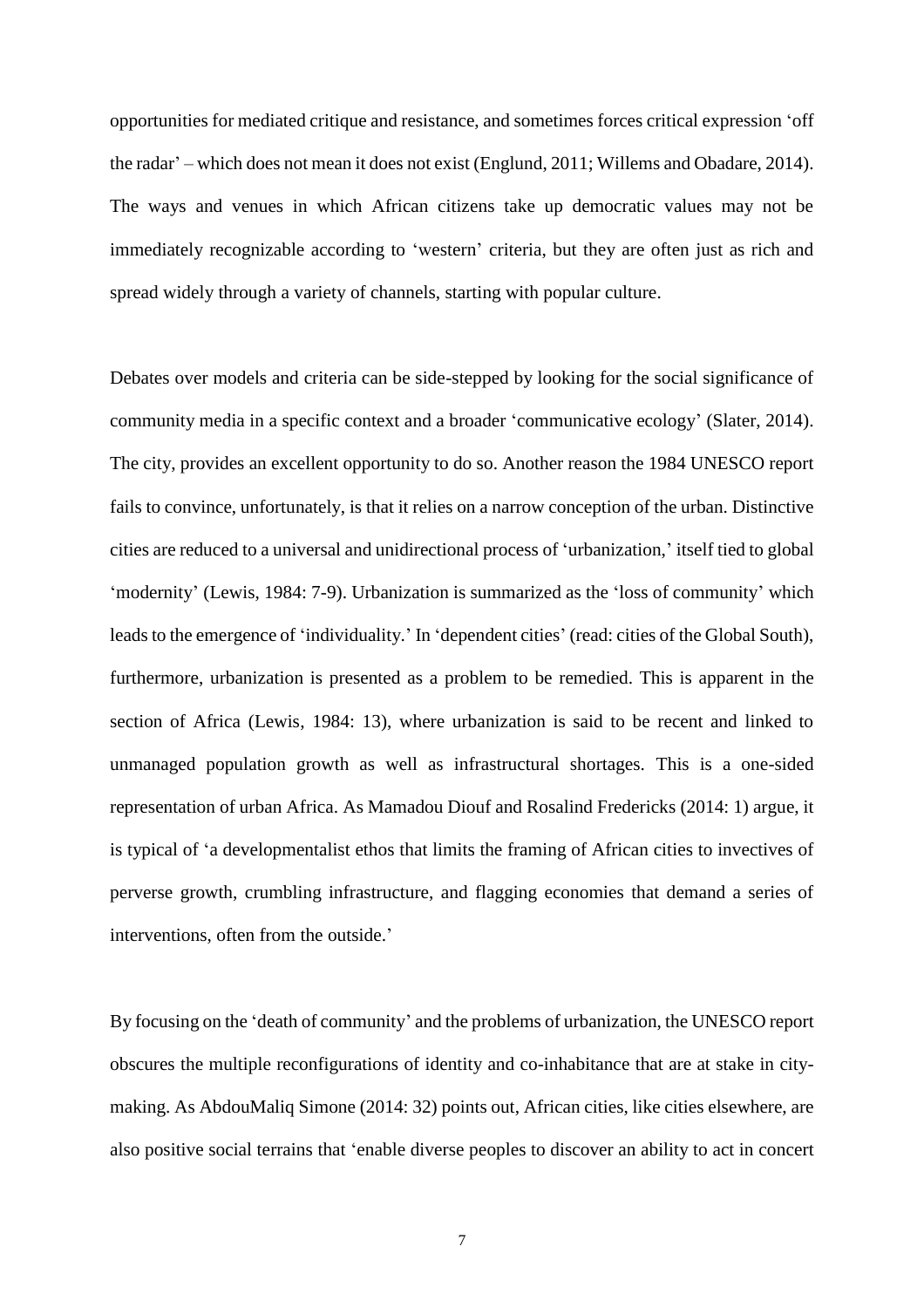opportunities for mediated critique and resistance, and sometimes forces critical expression 'off the radar' – which does not mean it does not exist (Englund, 2011; Willems and Obadare, 2014). The ways and venues in which African citizens take up democratic values may not be immediately recognizable according to 'western' criteria, but they are often just as rich and spread widely through a variety of channels, starting with popular culture.

Debates over models and criteria can be side-stepped by looking for the social significance of community media in a specific context and a broader 'communicative ecology' (Slater, 2014). The city, provides an excellent opportunity to do so. Another reason the 1984 UNESCO report fails to convince, unfortunately, is that it relies on a narrow conception of the urban. Distinctive cities are reduced to a universal and unidirectional process of 'urbanization,' itself tied to global 'modernity' (Lewis, 1984: 7-9). Urbanization is summarized as the 'loss of community' which leads to the emergence of 'individuality.' In 'dependent cities' (read: cities of the Global South), furthermore, urbanization is presented as a problem to be remedied. This is apparent in the section of Africa (Lewis, 1984: 13), where urbanization is said to be recent and linked to unmanaged population growth as well as infrastructural shortages. This is a one-sided representation of urban Africa. As Mamadou Diouf and Rosalind Fredericks (2014: 1) argue, it is typical of 'a developmentalist ethos that limits the framing of African cities to invectives of perverse growth, crumbling infrastructure, and flagging economies that demand a series of interventions, often from the outside.'

By focusing on the 'death of community' and the problems of urbanization, the UNESCO report obscures the multiple reconfigurations of identity and co-inhabitance that are at stake in citymaking. As AbdouMaliq Simone (2014: 32) points out, African cities, like cities elsewhere, are also positive social terrains that 'enable diverse peoples to discover an ability to act in concert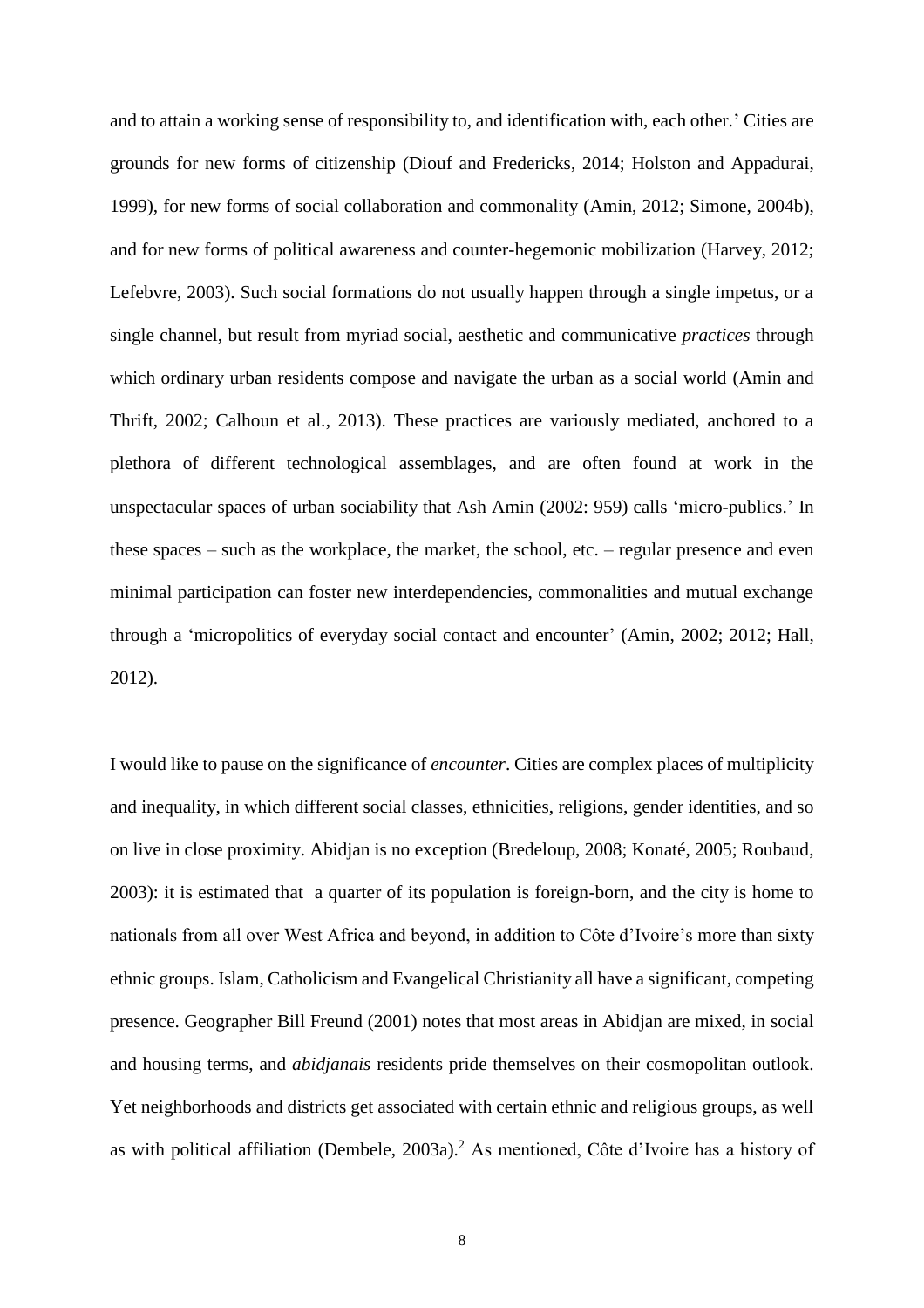and to attain a working sense of responsibility to, and identification with, each other.' Cities are grounds for new forms of citizenship (Diouf and Fredericks, 2014; Holston and Appadurai, 1999), for new forms of social collaboration and commonality (Amin, 2012; Simone, 2004b), and for new forms of political awareness and counter-hegemonic mobilization (Harvey, 2012; Lefebvre, 2003). Such social formations do not usually happen through a single impetus, or a single channel, but result from myriad social, aesthetic and communicative *practices* through which ordinary urban residents compose and navigate the urban as a social world (Amin and Thrift, 2002; Calhoun et al., 2013). These practices are variously mediated, anchored to a plethora of different technological assemblages, and are often found at work in the unspectacular spaces of urban sociability that Ash Amin (2002: 959) calls 'micro-publics.' In these spaces – such as the workplace, the market, the school, etc. – regular presence and even minimal participation can foster new interdependencies, commonalities and mutual exchange through a 'micropolitics of everyday social contact and encounter' (Amin, 2002; 2012; Hall, 2012).

I would like to pause on the significance of *encounter*. Cities are complex places of multiplicity and inequality, in which different social classes, ethnicities, religions, gender identities, and so on live in close proximity. Abidjan is no exception (Bredeloup, 2008; Konaté, 2005; Roubaud, 2003): it is estimated that a quarter of its population is foreign-born, and the city is home to nationals from all over West Africa and beyond, in addition to Côte d'Ivoire's more than sixty ethnic groups. Islam, Catholicism and Evangelical Christianity all have a significant, competing presence. Geographer Bill Freund (2001) notes that most areas in Abidjan are mixed, in social and housing terms, and *abidjanais* residents pride themselves on their cosmopolitan outlook. Yet neighborhoods and districts get associated with certain ethnic and religious groups, as well as with political affiliation (Dembele, 2003a). <sup>2</sup> As mentioned, Côte d'Ivoire has a history of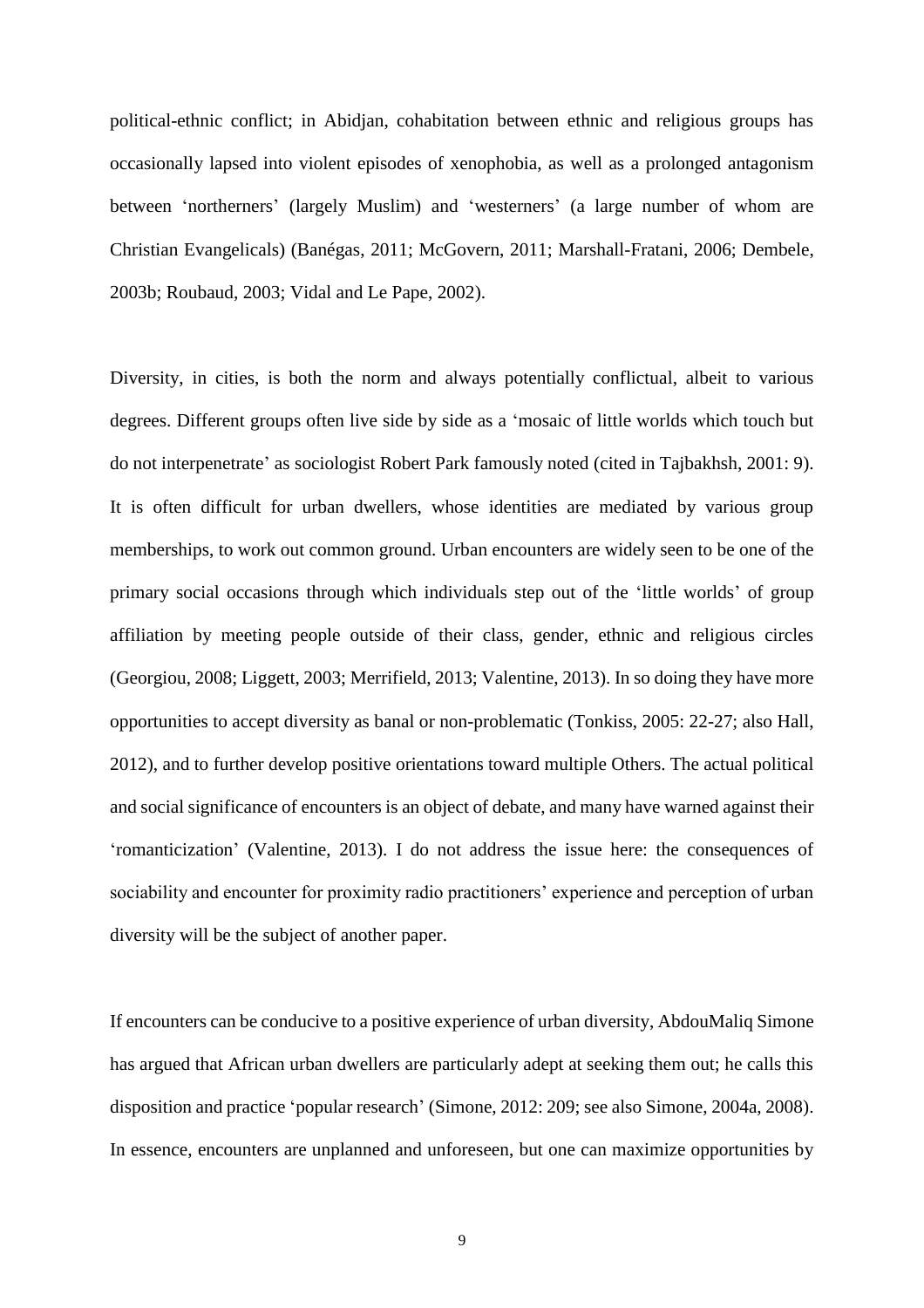political-ethnic conflict; in Abidjan, cohabitation between ethnic and religious groups has occasionally lapsed into violent episodes of xenophobia, as well as a prolonged antagonism between 'northerners' (largely Muslim) and 'westerners' (a large number of whom are Christian Evangelicals) (Banégas, 2011; McGovern, 2011; Marshall-Fratani, 2006; Dembele, 2003b; Roubaud, 2003; Vidal and Le Pape, 2002).

Diversity, in cities, is both the norm and always potentially conflictual, albeit to various degrees. Different groups often live side by side as a 'mosaic of little worlds which touch but do not interpenetrate' as sociologist Robert Park famously noted (cited in Tajbakhsh, 2001: 9). It is often difficult for urban dwellers, whose identities are mediated by various group memberships, to work out common ground. Urban encounters are widely seen to be one of the primary social occasions through which individuals step out of the 'little worlds' of group affiliation by meeting people outside of their class, gender, ethnic and religious circles (Georgiou, 2008; Liggett, 2003; Merrifield, 2013; Valentine, 2013). In so doing they have more opportunities to accept diversity as banal or non-problematic (Tonkiss, 2005: 22-27; also Hall, 2012), and to further develop positive orientations toward multiple Others. The actual political and social significance of encounters is an object of debate, and many have warned against their 'romanticization' (Valentine, 2013). I do not address the issue here: the consequences of sociability and encounter for proximity radio practitioners' experience and perception of urban diversity will be the subject of another paper.

If encounters can be conducive to a positive experience of urban diversity, AbdouMaliq Simone has argued that African urban dwellers are particularly adept at seeking them out; he calls this disposition and practice 'popular research' (Simone, 2012: 209; see also Simone, 2004a, 2008). In essence, encounters are unplanned and unforeseen, but one can maximize opportunities by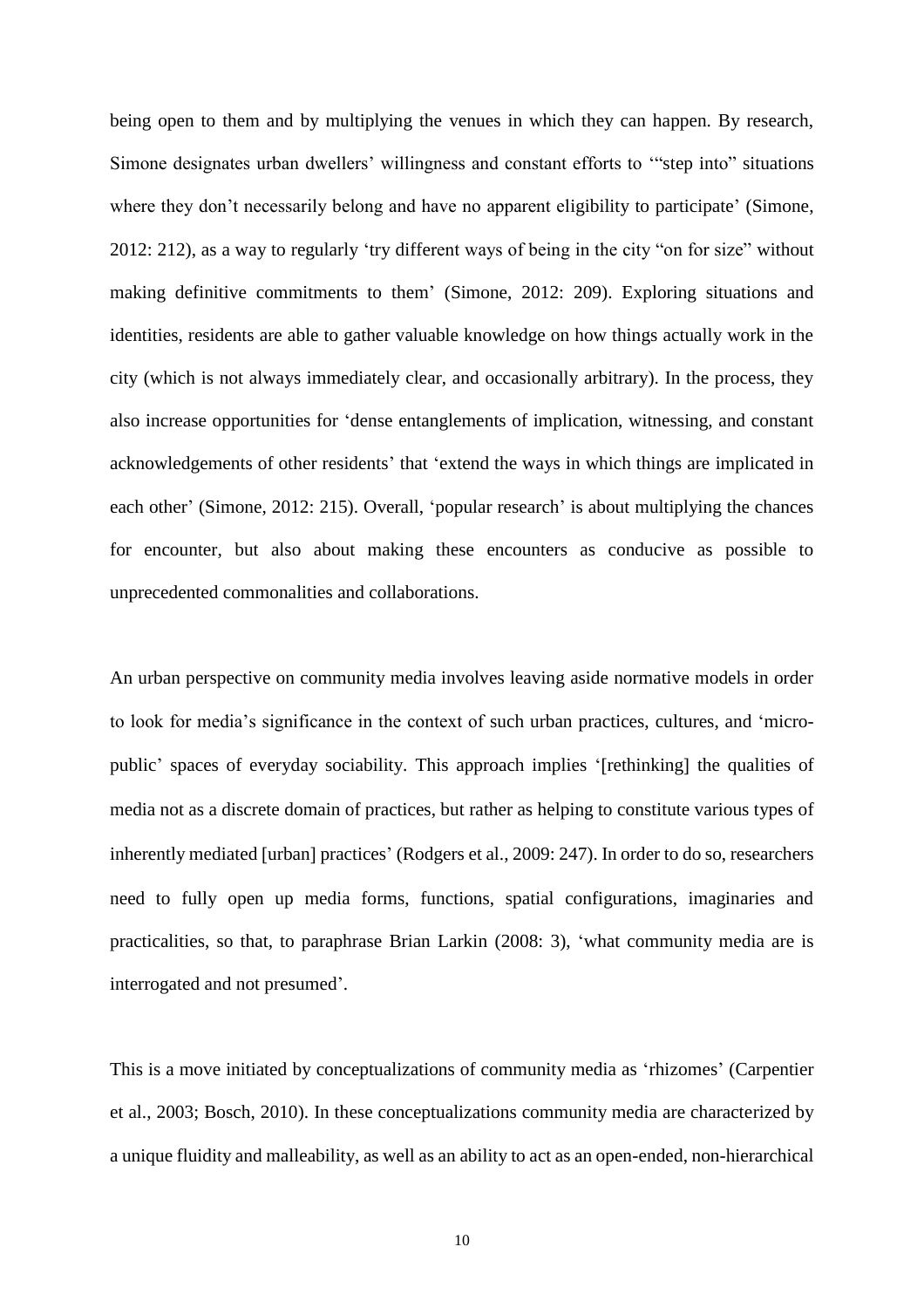being open to them and by multiplying the venues in which they can happen. By research, Simone designates urban dwellers' willingness and constant efforts to '"step into" situations where they don't necessarily belong and have no apparent eligibility to participate' (Simone, 2012: 212), as a way to regularly 'try different ways of being in the city "on for size" without making definitive commitments to them' (Simone, 2012: 209). Exploring situations and identities, residents are able to gather valuable knowledge on how things actually work in the city (which is not always immediately clear, and occasionally arbitrary). In the process, they also increase opportunities for 'dense entanglements of implication, witnessing, and constant acknowledgements of other residents' that 'extend the ways in which things are implicated in each other' (Simone, 2012: 215). Overall, 'popular research' is about multiplying the chances for encounter, but also about making these encounters as conducive as possible to unprecedented commonalities and collaborations.

An urban perspective on community media involves leaving aside normative models in order to look for media's significance in the context of such urban practices, cultures, and 'micropublic' spaces of everyday sociability. This approach implies '[rethinking] the qualities of media not as a discrete domain of practices, but rather as helping to constitute various types of inherently mediated [urban] practices' (Rodgers et al., 2009: 247). In order to do so, researchers need to fully open up media forms, functions, spatial configurations, imaginaries and practicalities, so that, to paraphrase Brian Larkin (2008: 3), 'what community media are is interrogated and not presumed'.

This is a move initiated by conceptualizations of community media as 'rhizomes' (Carpentier et al., 2003; Bosch, 2010). In these conceptualizations community media are characterized by a unique fluidity and malleability, as well as an ability to act as an open-ended, non-hierarchical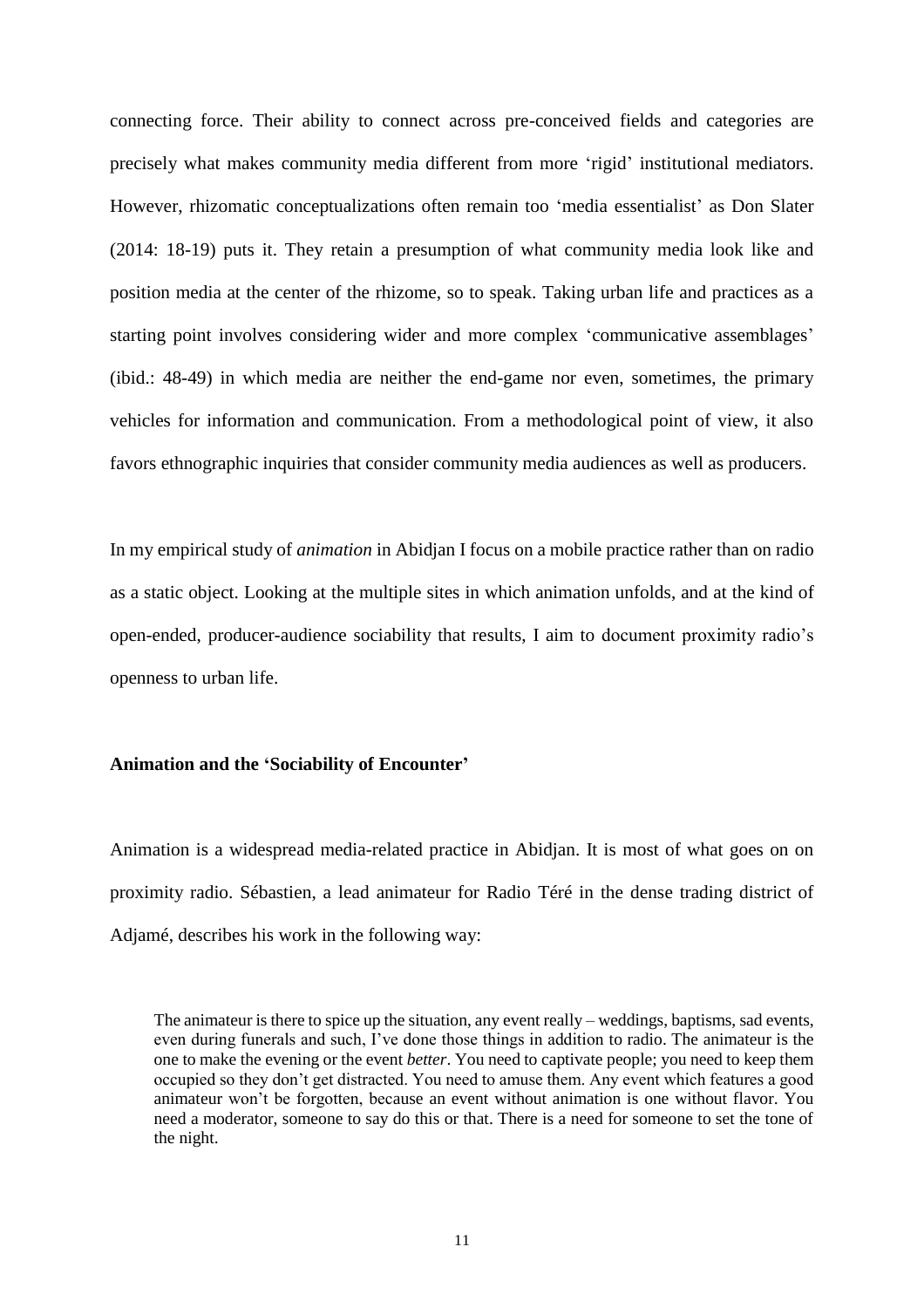connecting force. Their ability to connect across pre-conceived fields and categories are precisely what makes community media different from more 'rigid' institutional mediators. However, rhizomatic conceptualizations often remain too 'media essentialist' as Don Slater (2014: 18-19) puts it. They retain a presumption of what community media look like and position media at the center of the rhizome, so to speak. Taking urban life and practices as a starting point involves considering wider and more complex 'communicative assemblages' (ibid.: 48-49) in which media are neither the end-game nor even, sometimes, the primary vehicles for information and communication. From a methodological point of view, it also favors ethnographic inquiries that consider community media audiences as well as producers.

In my empirical study of *animation* in Abidjan I focus on a mobile practice rather than on radio as a static object. Looking at the multiple sites in which animation unfolds, and at the kind of open-ended, producer-audience sociability that results, I aim to document proximity radio's openness to urban life.

### **Animation and the 'Sociability of Encounter'**

Animation is a widespread media-related practice in Abidjan. It is most of what goes on on proximity radio. Sébastien, a lead animateur for Radio Téré in the dense trading district of Adjamé, describes his work in the following way:

The animateur is there to spice up the situation, any event really – weddings, baptisms, sad events, even during funerals and such, I've done those things in addition to radio. The animateur is the one to make the evening or the event *better*. You need to captivate people; you need to keep them occupied so they don't get distracted. You need to amuse them. Any event which features a good animateur won't be forgotten, because an event without animation is one without flavor. You need a moderator, someone to say do this or that. There is a need for someone to set the tone of the night.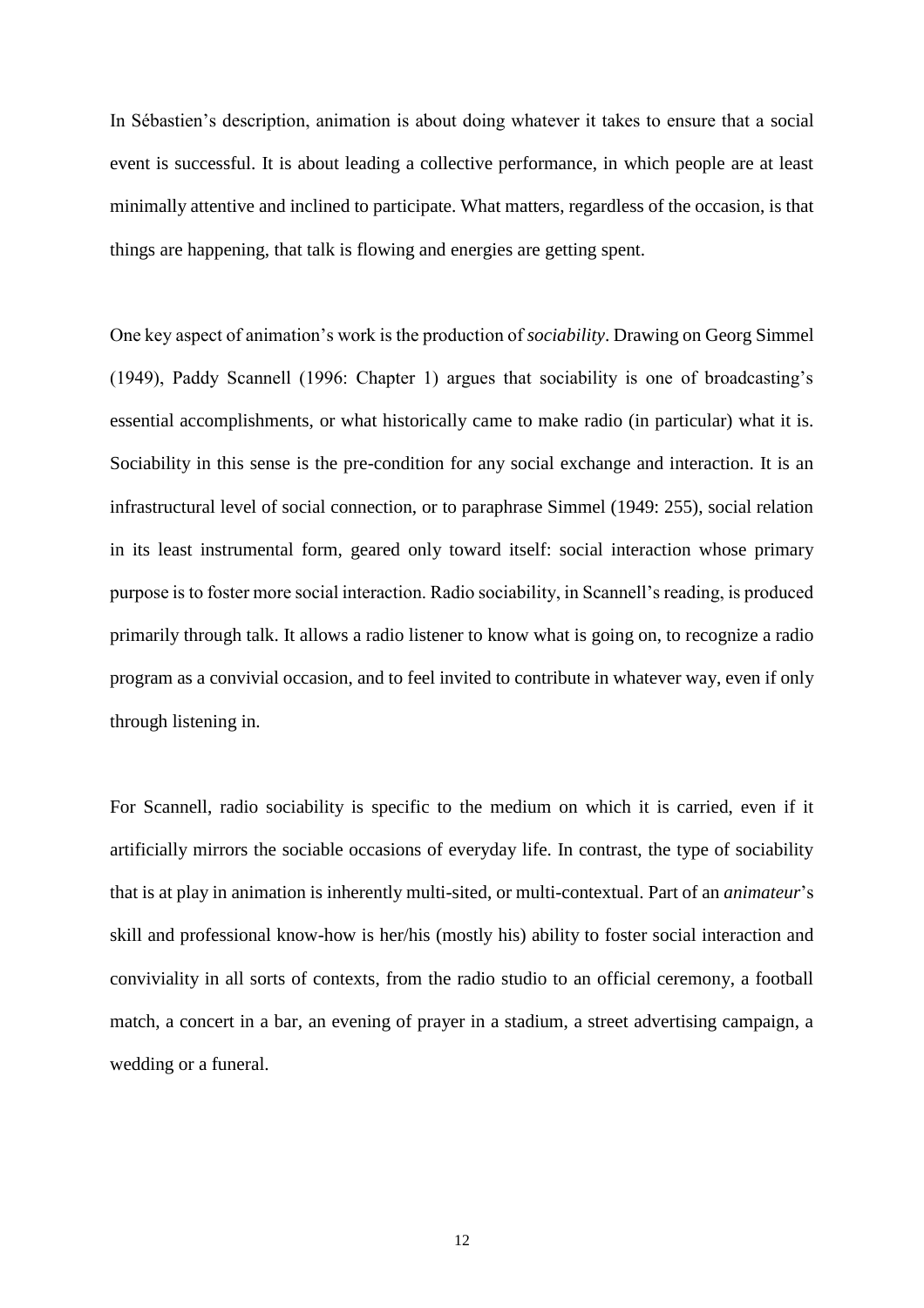In Sébastien's description, animation is about doing whatever it takes to ensure that a social event is successful. It is about leading a collective performance, in which people are at least minimally attentive and inclined to participate. What matters, regardless of the occasion, is that things are happening, that talk is flowing and energies are getting spent.

One key aspect of animation's work is the production of *sociability*. Drawing on Georg Simmel (1949), Paddy Scannell (1996: Chapter 1) argues that sociability is one of broadcasting's essential accomplishments, or what historically came to make radio (in particular) what it is. Sociability in this sense is the pre-condition for any social exchange and interaction. It is an infrastructural level of social connection, or to paraphrase Simmel (1949: 255), social relation in its least instrumental form, geared only toward itself: social interaction whose primary purpose is to foster more social interaction. Radio sociability, in Scannell's reading, is produced primarily through talk. It allows a radio listener to know what is going on, to recognize a radio program as a convivial occasion, and to feel invited to contribute in whatever way, even if only through listening in.

For Scannell, radio sociability is specific to the medium on which it is carried, even if it artificially mirrors the sociable occasions of everyday life. In contrast, the type of sociability that is at play in animation is inherently multi-sited, or multi-contextual. Part of an *animateur*'s skill and professional know-how is her/his (mostly his) ability to foster social interaction and conviviality in all sorts of contexts, from the radio studio to an official ceremony, a football match, a concert in a bar, an evening of prayer in a stadium, a street advertising campaign, a wedding or a funeral.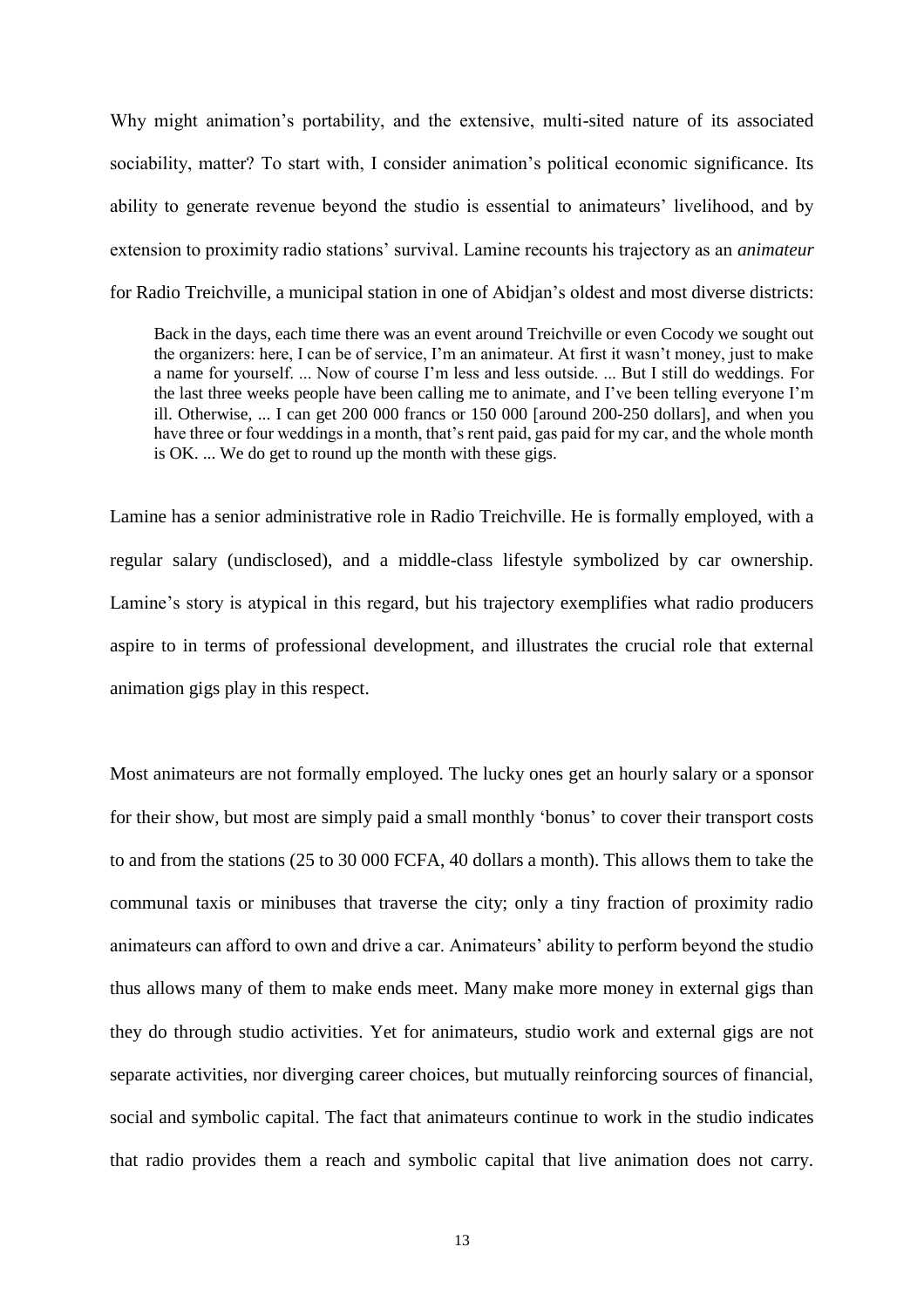Why might animation's portability, and the extensive, multi-sited nature of its associated sociability, matter? To start with, I consider animation's political economic significance. Its ability to generate revenue beyond the studio is essential to animateurs' livelihood, and by extension to proximity radio stations' survival. Lamine recounts his trajectory as an *animateur*  for Radio Treichville, a municipal station in one of Abidjan's oldest and most diverse districts:

Back in the days, each time there was an event around Treichville or even Cocody we sought out the organizers: here, I can be of service, I'm an animateur. At first it wasn't money, just to make a name for yourself. ... Now of course I'm less and less outside. ... But I still do weddings. For the last three weeks people have been calling me to animate, and I've been telling everyone I'm ill. Otherwise, ... I can get  $200\,000$  francs or  $150\,000$  [around  $200-250$  dollars], and when you have three or four weddings in a month, that's rent paid, gas paid for my car, and the whole month is OK. ... We do get to round up the month with these gigs.

Lamine has a senior administrative role in Radio Treichville. He is formally employed, with a regular salary (undisclosed), and a middle-class lifestyle symbolized by car ownership. Lamine's story is atypical in this regard, but his trajectory exemplifies what radio producers aspire to in terms of professional development, and illustrates the crucial role that external animation gigs play in this respect.

Most animateurs are not formally employed. The lucky ones get an hourly salary or a sponsor for their show, but most are simply paid a small monthly 'bonus' to cover their transport costs to and from the stations (25 to 30 000 FCFA, 40 dollars a month). This allows them to take the communal taxis or minibuses that traverse the city; only a tiny fraction of proximity radio animateurs can afford to own and drive a car. Animateurs' ability to perform beyond the studio thus allows many of them to make ends meet. Many make more money in external gigs than they do through studio activities. Yet for animateurs, studio work and external gigs are not separate activities, nor diverging career choices, but mutually reinforcing sources of financial, social and symbolic capital. The fact that animateurs continue to work in the studio indicates that radio provides them a reach and symbolic capital that live animation does not carry.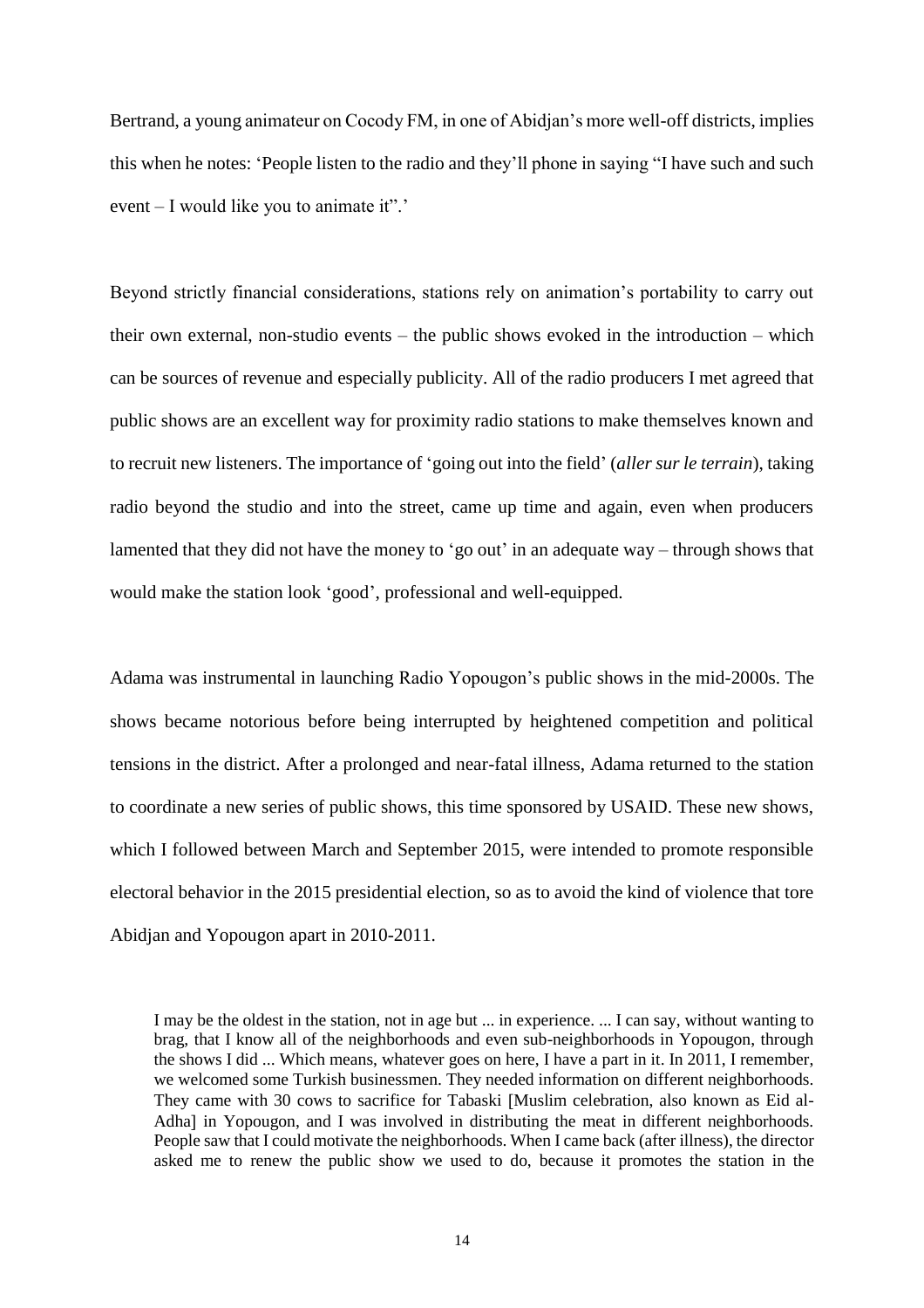Bertrand, a young animateur on Cocody FM, in one of Abidjan's more well-off districts, implies this when he notes: 'People listen to the radio and they'll phone in saying "I have such and such event – I would like you to animate it".'

Beyond strictly financial considerations, stations rely on animation's portability to carry out their own external, non-studio events – the public shows evoked in the introduction – which can be sources of revenue and especially publicity. All of the radio producers I met agreed that public shows are an excellent way for proximity radio stations to make themselves known and to recruit new listeners. The importance of 'going out into the field' (*aller sur le terrain*), taking radio beyond the studio and into the street, came up time and again, even when producers lamented that they did not have the money to 'go out' in an adequate way – through shows that would make the station look 'good', professional and well-equipped.

Adama was instrumental in launching Radio Yopougon's public shows in the mid-2000s. The shows became notorious before being interrupted by heightened competition and political tensions in the district. After a prolonged and near-fatal illness, Adama returned to the station to coordinate a new series of public shows, this time sponsored by USAID. These new shows, which I followed between March and September 2015, were intended to promote responsible electoral behavior in the 2015 presidential election, so as to avoid the kind of violence that tore Abidjan and Yopougon apart in 2010-2011.

I may be the oldest in the station, not in age but ... in experience. ... I can say, without wanting to brag, that I know all of the neighborhoods and even sub-neighborhoods in Yopougon, through the shows I did ... Which means, whatever goes on here, I have a part in it. In 2011, I remember, we welcomed some Turkish businessmen. They needed information on different neighborhoods. They came with 30 cows to sacrifice for Tabaski Muslim celebration, also known as Eid al-Adha in Yopougon, and I was involved in distributing the meat in different neighborhoods. People saw that I could motivate the neighborhoods. When I came back (after illness), the director asked me to renew the public show we used to do, because it promotes the station in the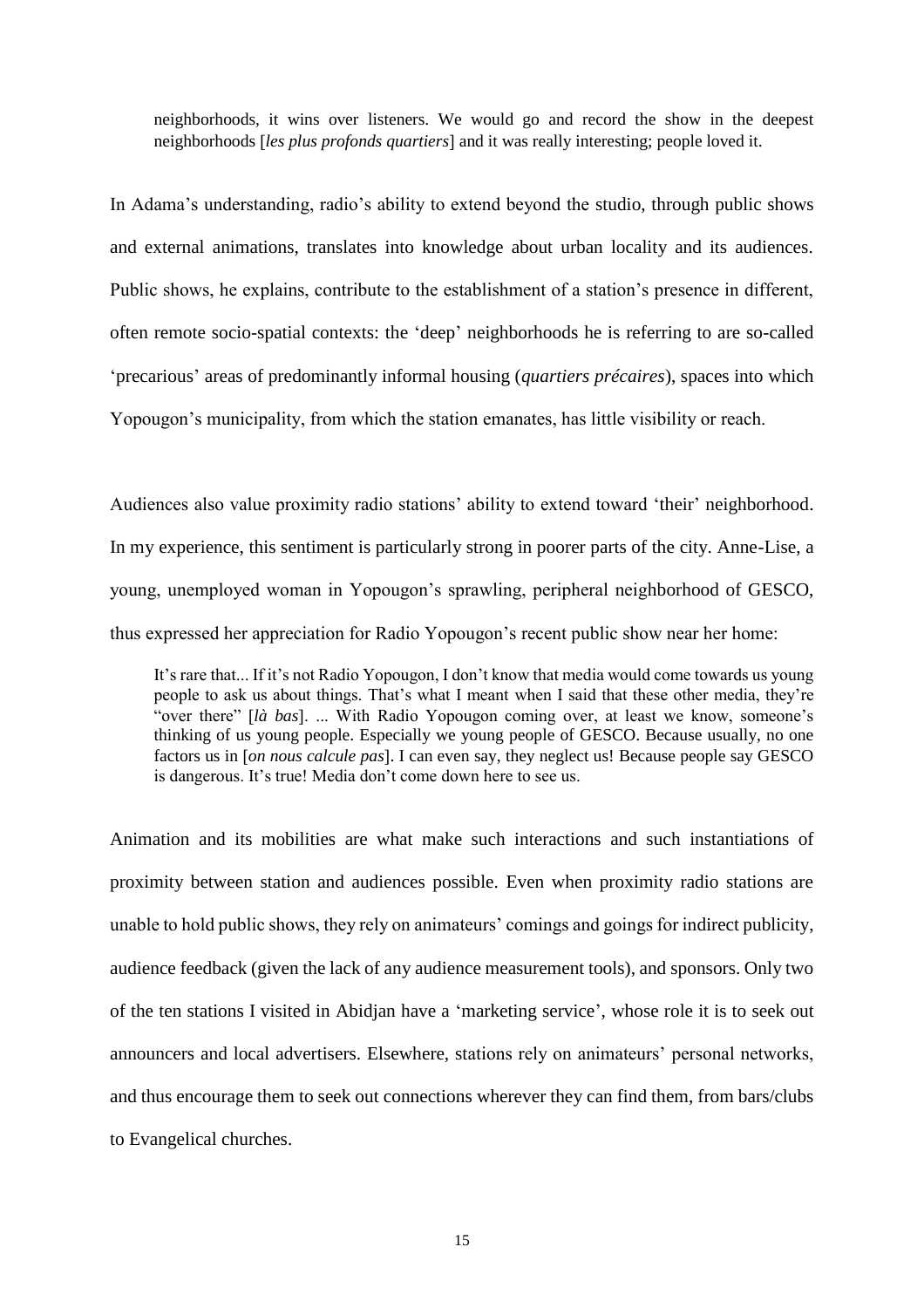neighborhoods, it wins over listeners. We would go and record the show in the deepest neighborhoods *[les plus profonds quartiers]* and it was really interesting; people loved it.

In Adama's understanding, radio's ability to extend beyond the studio, through public shows and external animations, translates into knowledge about urban locality and its audiences. Public shows, he explains, contribute to the establishment of a station's presence in different, often remote socio-spatial contexts: the 'deep' neighborhoods he is referring to are so-called 'precarious' areas of predominantly informal housing (*quartiers précaires*), spaces into which Yopougon's municipality, from which the station emanates, has little visibility or reach.

Audiences also value proximity radio stations' ability to extend toward 'their' neighborhood. In my experience, this sentiment is particularly strong in poorer parts of the city. Anne-Lise, a young, unemployed woman in Yopougon's sprawling, peripheral neighborhood of GESCO, thus expressed her appreciation for Radio Yopougon's recent public show near her home:

It's rare that... If it's not Radio Yopougon, I don't know that media would come towards us young people to ask us about things. That's what I meant when I said that these other media, they're "over there" *[là bas]*. ... With Radio Yopougon coming over, at least we know, someone's thinking of us young people. Especially we young people of GESCO. Because usually, no one factors us in *[on nous calcule pas*]. I can even say, they neglect us! Because people say GESCO is dangerous. It's true! Media don't come down here to see us.

Animation and its mobilities are what make such interactions and such instantiations of proximity between station and audiences possible. Even when proximity radio stations are unable to hold public shows, they rely on animateurs' comings and goings for indirect publicity, audience feedback (given the lack of any audience measurement tools), and sponsors. Only two of the ten stations I visited in Abidjan have a 'marketing service', whose role it is to seek out announcers and local advertisers. Elsewhere, stations rely on animateurs' personal networks, and thus encourage them to seek out connections wherever they can find them, from bars/clubs to Evangelical churches.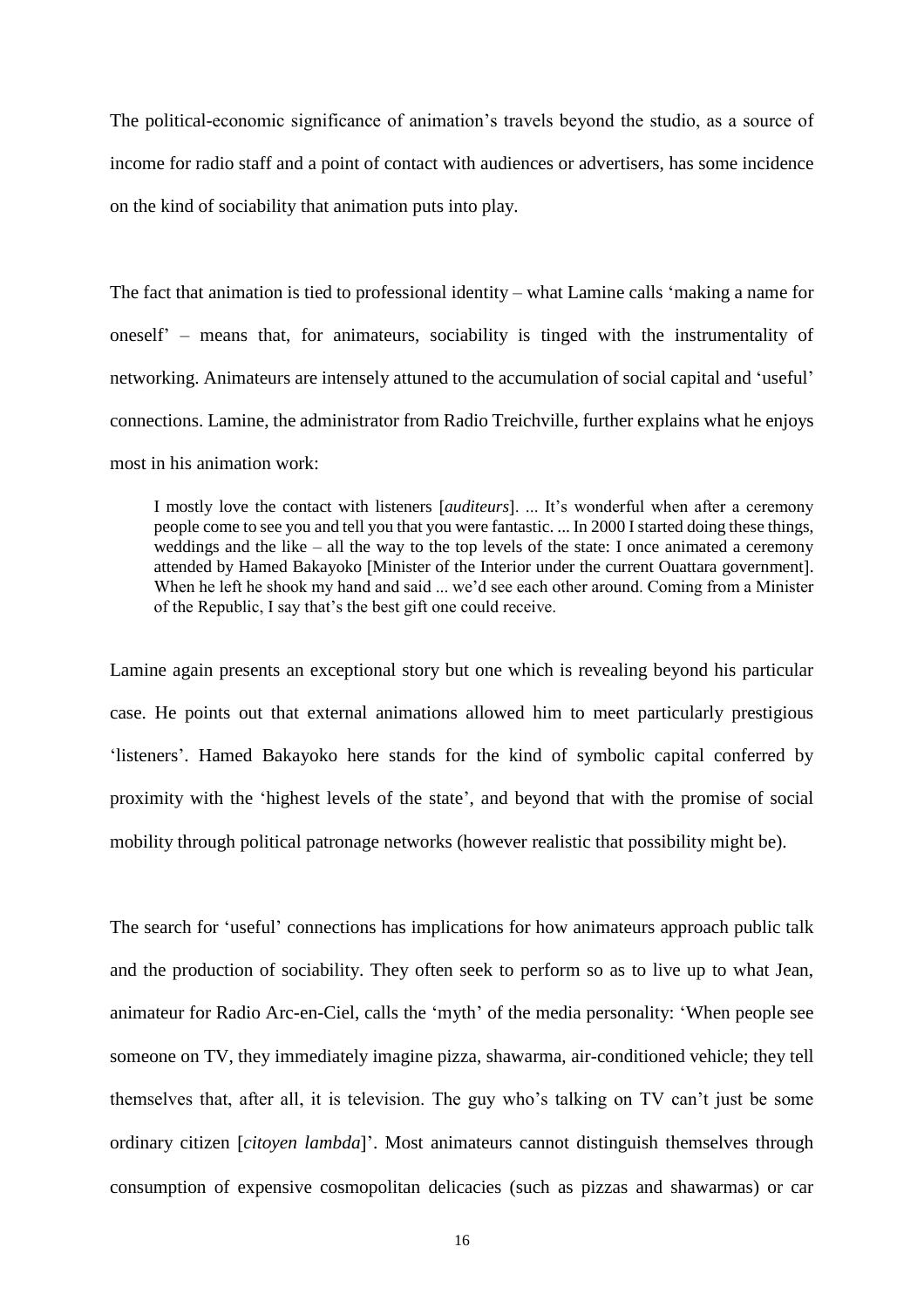The political-economic significance of animation's travels beyond the studio, as a source of income for radio staff and a point of contact with audiences or advertisers, has some incidence on the kind of sociability that animation puts into play.

The fact that animation is tied to professional identity – what Lamine calls 'making a name for oneself' – means that, for animateurs, sociability is tinged with the instrumentality of networking. Animateurs are intensely attuned to the accumulation of social capital and 'useful' connections. Lamine, the administrator from Radio Treichville, further explains what he enjoys most in his animation work:

I mostly love the contact with listeners *[auditeurs]...* It's wonderful when after a ceremony people come to see you and tell you that you were fantastic. ... In 2000 I started doing these things, weddings and the like – all the way to the top levels of the state: I once animated a ceremony attended by Hamed Bakayoko [Minister of the Interior under the current Ouattara government]. When he left he shook my hand and said ... we'd see each other around. Coming from a Minister of the Republic, I say that's the best gift one could receive.

Lamine again presents an exceptional story but one which is revealing beyond his particular case. He points out that external animations allowed him to meet particularly prestigious 'listeners'. Hamed Bakayoko here stands for the kind of symbolic capital conferred by proximity with the 'highest levels of the state', and beyond that with the promise of social mobility through political patronage networks (however realistic that possibility might be).

The search for 'useful' connections has implications for how animateurs approach public talk and the production of sociability. They often seek to perform so as to live up to what Jean, animateur for Radio Arc-en-Ciel, calls the 'myth' of the media personality: 'When people see someone on TV, they immediately imagine pizza, shawarma, air-conditioned vehicle; they tell themselves that, after all, it is television. The guy who's talking on TV can't just be some ordinary citizen *citoyen lambda*'. Most animateurs cannot distinguish themselves through consumption of expensive cosmopolitan delicacies (such as pizzas and shawarmas) or car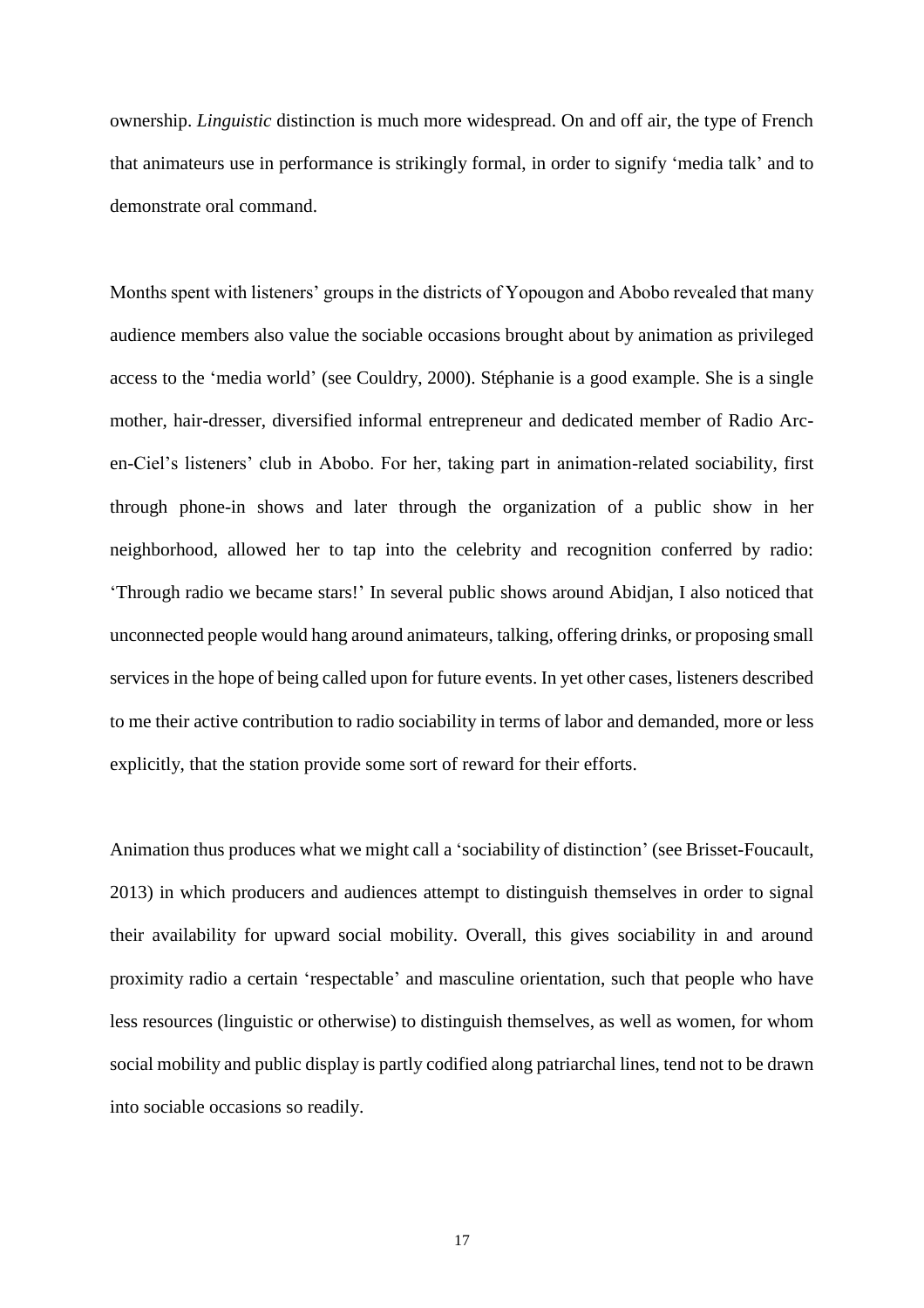ownership. *Linguistic* distinction is much more widespread. On and off air, the type of French that animateurs use in performance is strikingly formal, in order to signify 'media talk' and to demonstrate oral command.

Months spent with listeners' groups in the districts of Yopougon and Abobo revealed that many audience members also value the sociable occasions brought about by animation as privileged access to the 'media world' (see Couldry, 2000). Stéphanie is a good example. She is a single mother, hair-dresser, diversified informal entrepreneur and dedicated member of Radio Arcen-Ciel's listeners' club in Abobo. For her, taking part in animation-related sociability, first through phone-in shows and later through the organization of a public show in her neighborhood, allowed her to tap into the celebrity and recognition conferred by radio: 'Through radio we became stars!' In several public shows around Abidjan, I also noticed that unconnected people would hang around animateurs, talking, offering drinks, or proposing small services in the hope of being called upon for future events. In yet other cases, listeners described to me their active contribution to radio sociability in terms of labor and demanded, more or less explicitly, that the station provide some sort of reward for their efforts.

Animation thus produces what we might call a 'sociability of distinction' (see Brisset-Foucault, 2013) in which producers and audiences attempt to distinguish themselves in order to signal their availability for upward social mobility. Overall, this gives sociability in and around proximity radio a certain 'respectable' and masculine orientation, such that people who have less resources (linguistic or otherwise) to distinguish themselves, as well as women, for whom social mobility and public display is partly codified along patriarchal lines, tend not to be drawn into sociable occasions so readily.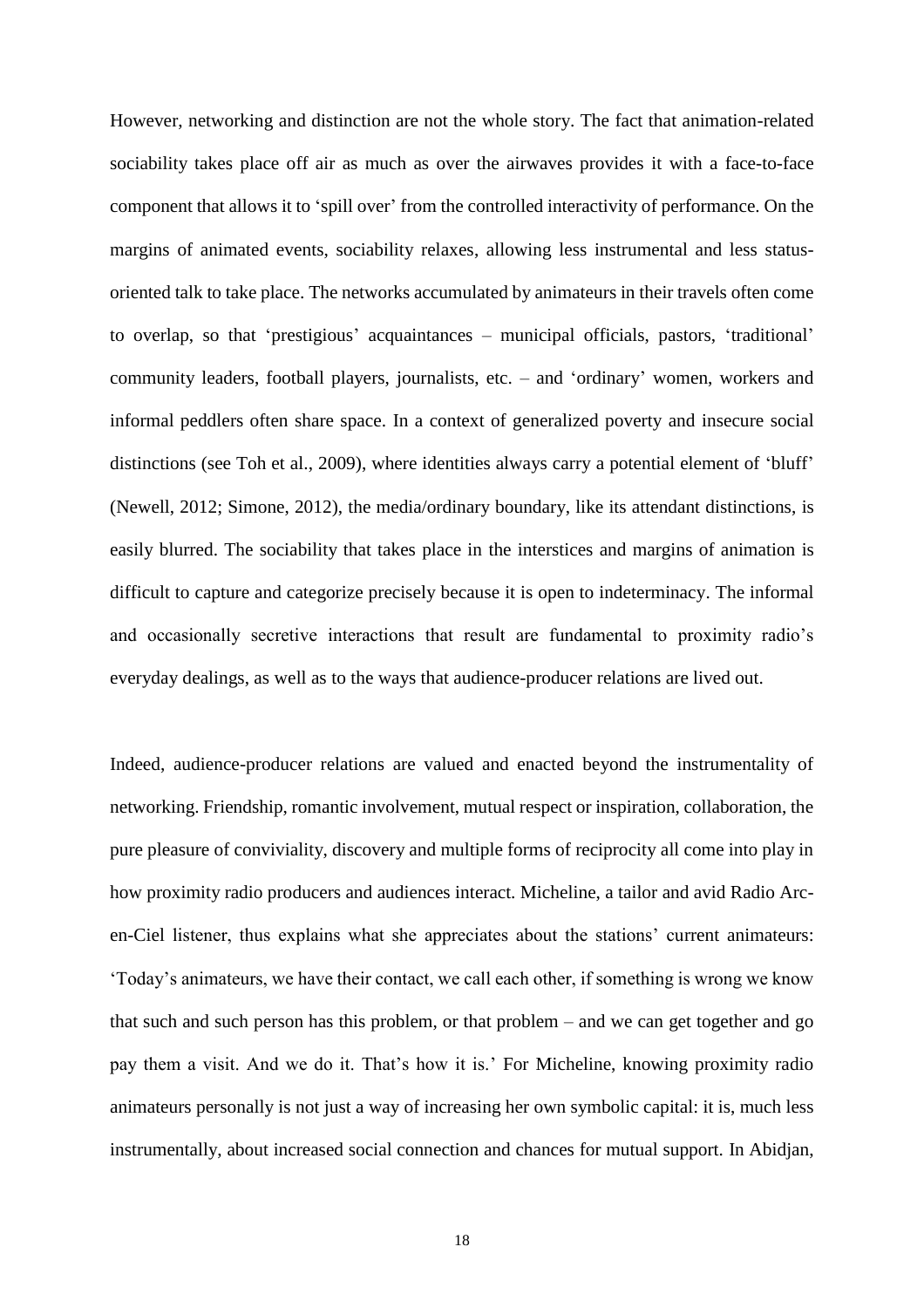However, networking and distinction are not the whole story. The fact that animation-related sociability takes place off air as much as over the airwaves provides it with a face-to-face component that allows it to 'spill over' from the controlled interactivity of performance. On the margins of animated events, sociability relaxes, allowing less instrumental and less statusoriented talk to take place. The networks accumulated by animateurs in their travels often come to overlap, so that 'prestigious' acquaintances – municipal officials, pastors, 'traditional' community leaders, football players, journalists, etc. – and 'ordinary' women, workers and informal peddlers often share space. In a context of generalized poverty and insecure social distinctions (see Toh et al., 2009), where identities always carry a potential element of 'bluff' (Newell, 2012; Simone, 2012), the media/ordinary boundary, like its attendant distinctions, is easily blurred. The sociability that takes place in the interstices and margins of animation is difficult to capture and categorize precisely because it is open to indeterminacy. The informal and occasionally secretive interactions that result are fundamental to proximity radio's everyday dealings, as well as to the ways that audience-producer relations are lived out.

Indeed, audience-producer relations are valued and enacted beyond the instrumentality of networking. Friendship, romantic involvement, mutual respect or inspiration, collaboration, the pure pleasure of conviviality, discovery and multiple forms of reciprocity all come into play in how proximity radio producers and audiences interact. Micheline, a tailor and avid Radio Arcen-Ciel listener, thus explains what she appreciates about the stations' current animateurs: 'Today's animateurs, we have their contact, we call each other, if something is wrong we know that such and such person has this problem, or that problem – and we can get together and go pay them a visit. And we do it. That's how it is.' For Micheline, knowing proximity radio animateurs personally is not just a way of increasing her own symbolic capital: it is, much less instrumentally, about increased social connection and chances for mutual support. In Abidjan,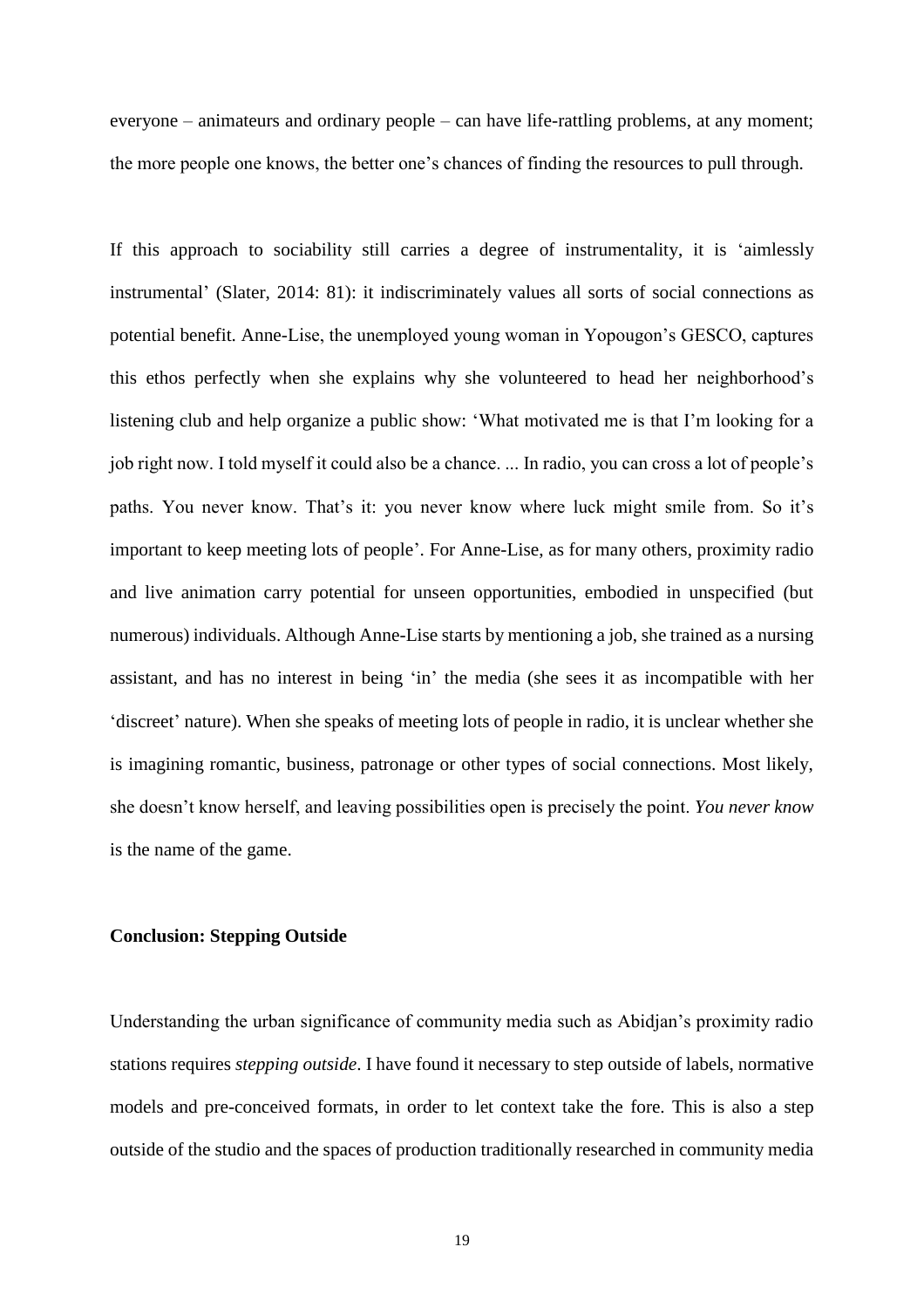everyone – animateurs and ordinary people – can have life-rattling problems, at any moment; the more people one knows, the better one's chances of finding the resources to pull through.

If this approach to sociability still carries a degree of instrumentality, it is 'aimlessly instrumental' (Slater, 2014: 81): it indiscriminately values all sorts of social connections as potential benefit. Anne-Lise, the unemployed young woman in Yopougon's GESCO, captures this ethos perfectly when she explains why she volunteered to head her neighborhood's listening club and help organize a public show: 'What motivated me is that I'm looking for a job right now. I told myself it could also be a chance. ... In radio, you can cross a lot of people's paths. You never know. That's it: you never know where luck might smile from. So it's important to keep meeting lots of people'. For Anne-Lise, as for many others, proximity radio and live animation carry potential for unseen opportunities, embodied in unspecified (but numerous) individuals. Although Anne-Lise starts by mentioning a job, she trained as a nursing assistant, and has no interest in being 'in' the media (she sees it as incompatible with her 'discreet' nature). When she speaks of meeting lots of people in radio, it is unclear whether she is imagining romantic, business, patronage or other types of social connections. Most likely, she doesn't know herself, and leaving possibilities open is precisely the point. *You never know* is the name of the game.

### **Conclusion: Stepping Outside**

Understanding the urban significance of community media such as Abidjan's proximity radio stations requires *stepping outside*. I have found it necessary to step outside of labels, normative models and pre-conceived formats, in order to let context take the fore. This is also a step outside of the studio and the spaces of production traditionally researched in community media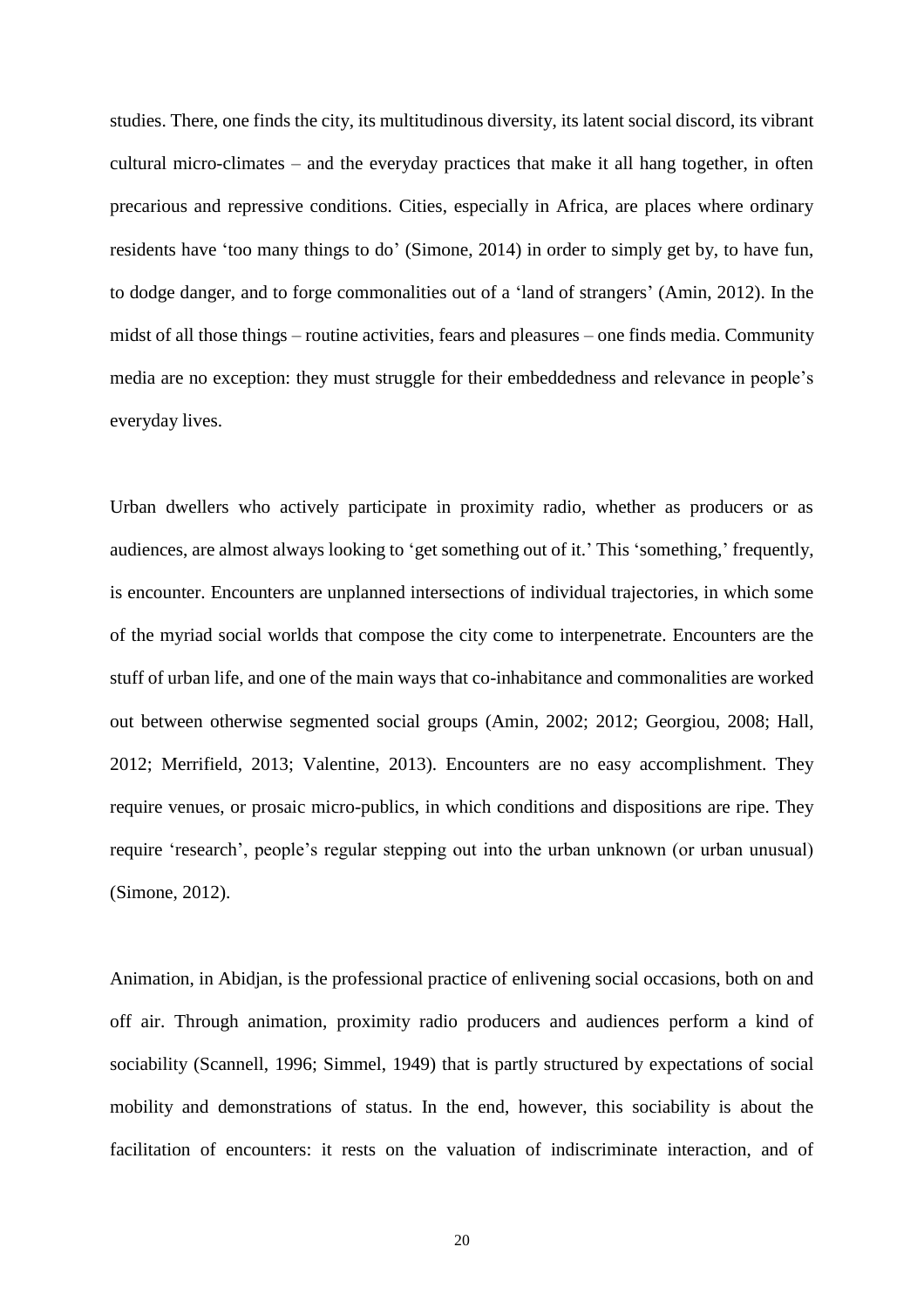studies. There, one finds the city, its multitudinous diversity, its latent social discord, its vibrant cultural micro-climates – and the everyday practices that make it all hang together, in often precarious and repressive conditions. Cities, especially in Africa, are places where ordinary residents have 'too many things to do' (Simone, 2014) in order to simply get by, to have fun, to dodge danger, and to forge commonalities out of a 'land of strangers' (Amin, 2012). In the midst of all those things – routine activities, fears and pleasures – one finds media. Community media are no exception: they must struggle for their embeddedness and relevance in people's everyday lives.

Urban dwellers who actively participate in proximity radio, whether as producers or as audiences, are almost always looking to 'get something out of it.' This 'something,' frequently, is encounter. Encounters are unplanned intersections of individual trajectories, in which some of the myriad social worlds that compose the city come to interpenetrate. Encounters are the stuff of urban life, and one of the main ways that co-inhabitance and commonalities are worked out between otherwise segmented social groups (Amin, 2002; 2012; Georgiou, 2008; Hall, 2012; Merrifield, 2013; Valentine, 2013). Encounters are no easy accomplishment. They require venues, or prosaic micro-publics, in which conditions and dispositions are ripe. They require 'research', people's regular stepping out into the urban unknown (or urban unusual) (Simone, 2012).

Animation, in Abidjan, is the professional practice of enlivening social occasions, both on and off air. Through animation, proximity radio producers and audiences perform a kind of sociability (Scannell, 1996; Simmel, 1949) that is partly structured by expectations of social mobility and demonstrations of status. In the end, however, this sociability is about the facilitation of encounters: it rests on the valuation of indiscriminate interaction, and of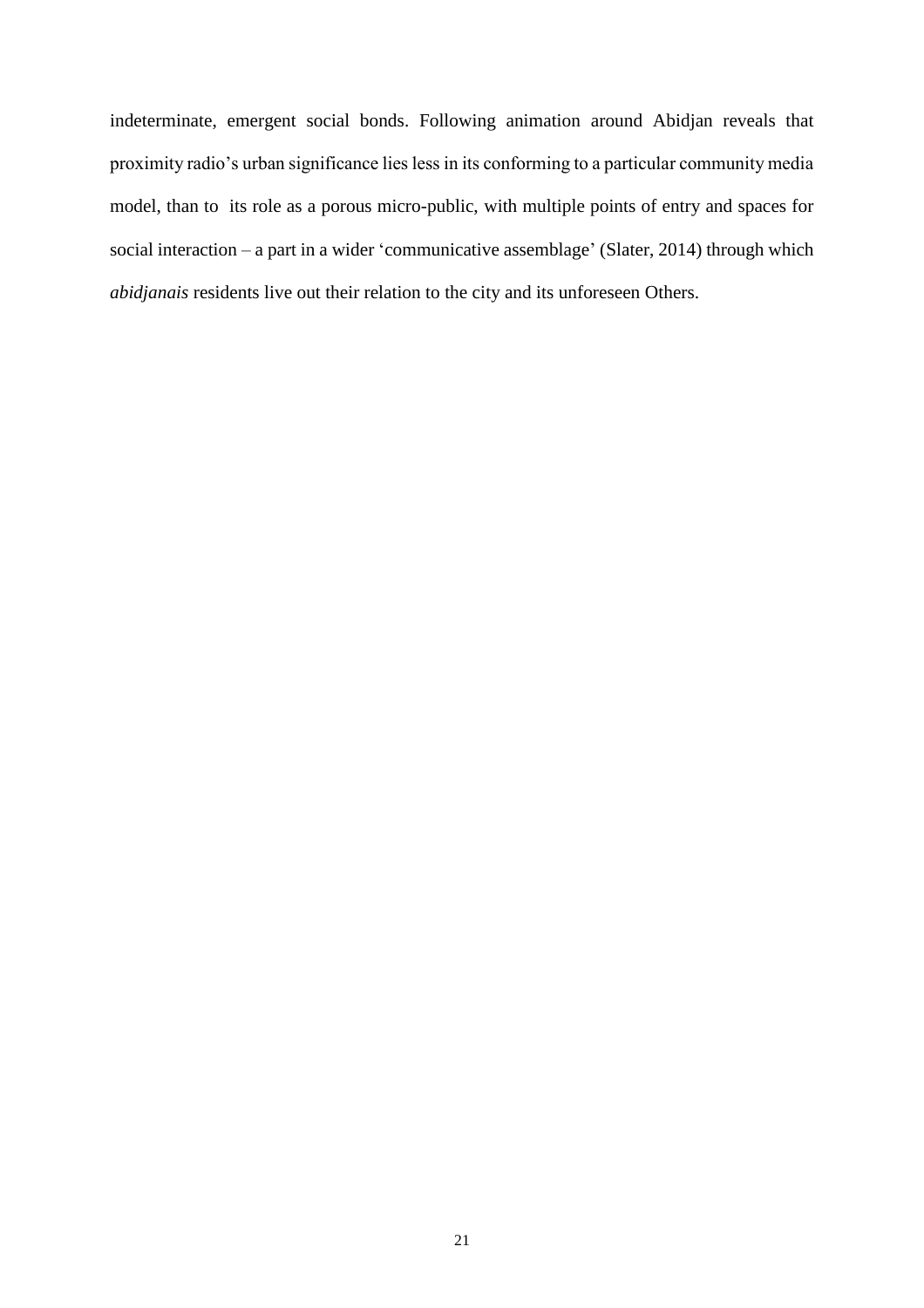indeterminate, emergent social bonds. Following animation around Abidjan reveals that proximity radio's urban significance lies less in its conforming to a particular community media model, than to its role as a porous micro-public, with multiple points of entry and spaces for social interaction – a part in a wider 'communicative assemblage' (Slater, 2014) through which *abidjanais* residents live out their relation to the city and its unforeseen Others.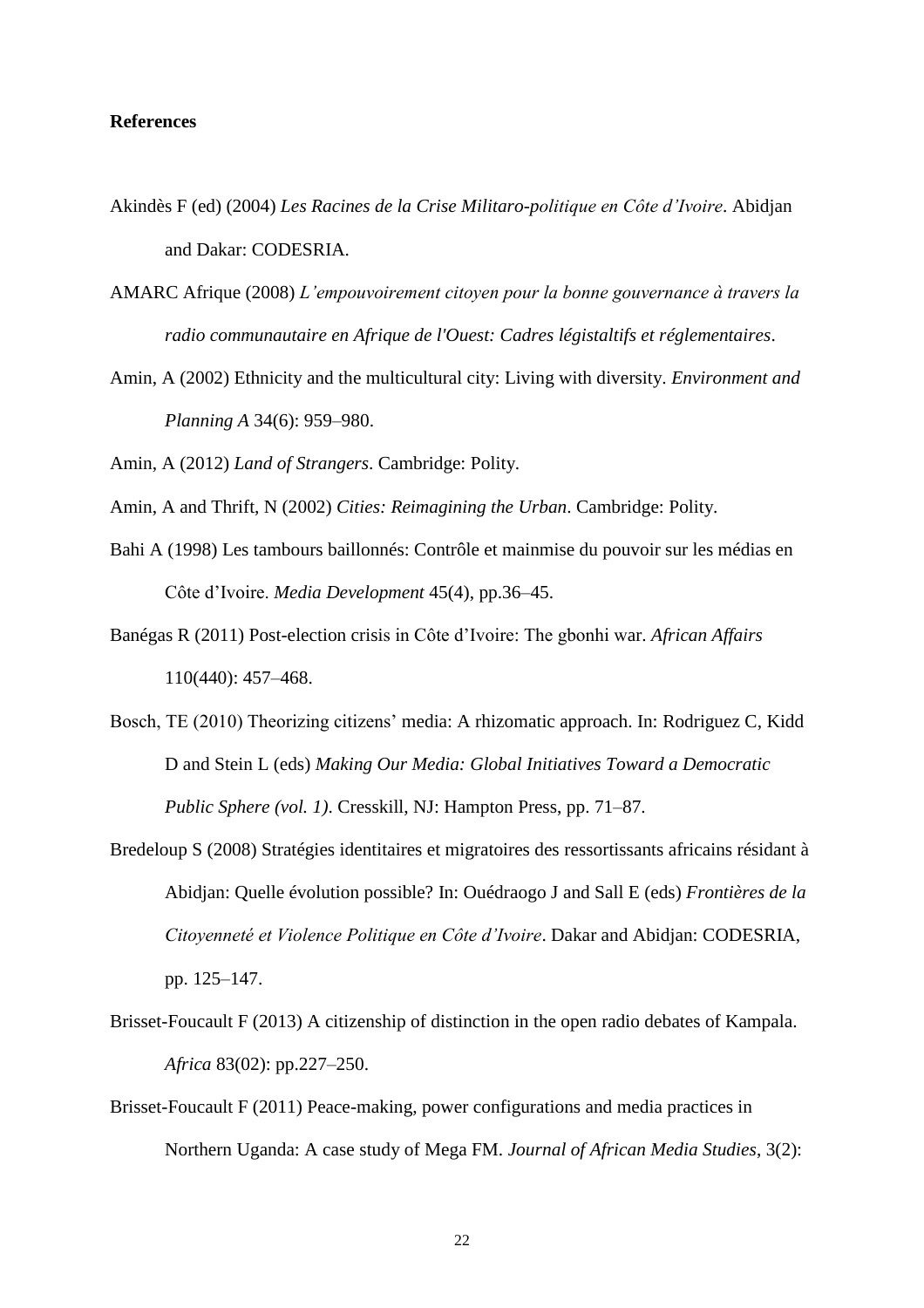### **References**

- Akindès F (ed) (2004) *Les Racines de la Crise Militaro-politique en Côte d'Ivoire*. Abidjan and Dakar: CODESRIA.
- AMARC Afrique (2008) *L'empouvoirement citoyen pour la bonne gouvernance à travers la radio communautaire en Afrique de l'Ouest: Cadres légistaltifs et réglementaires*.
- Amin, A (2002) Ethnicity and the multicultural city: Living with diversity. *Environment and Planning A* 34(6): 959–980.

Amin, A (2012) *Land of Strangers*. Cambridge: Polity.

- Amin, A and Thrift, N (2002) *Cities: Reimagining the Urban*. Cambridge: Polity.
- Bahi A (1998) Les tambours baillonnés: Contrôle et mainmise du pouvoir sur les médias en Côte d'Ivoire. *Media Development* 45(4), pp.36–45.
- Banégas R (2011) Post-election crisis in Côte d'Ivoire: The gbonhi war. *African Affairs* 110(440): 457–468.
- Bosch, TE (2010) Theorizing citizens' media: A rhizomatic approach. In: Rodriguez C, Kidd D and Stein L (eds) *Making Our Media: Global Initiatives Toward a Democratic Public Sphere (vol. 1)*. Cresskill, NJ: Hampton Press, pp. 71–87.
- Bredeloup S (2008) Stratégies identitaires et migratoires des ressortissants africains résidant à Abidjan: Quelle évolution possible? In: Ouédraogo J and Sall E (eds) *Frontières de la Citoyenneté et Violence Politique en Côte d'Ivoire*. Dakar and Abidjan: CODESRIA, pp. 125–147.
- Brisset-Foucault F (2013) A citizenship of distinction in the open radio debates of Kampala. *Africa* 83(02): pp.227–250.
- Brisset-Foucault F (2011) Peace-making, power configurations and media practices in Northern Uganda: A case study of Mega FM. *Journal of African Media Studies*, 3(2):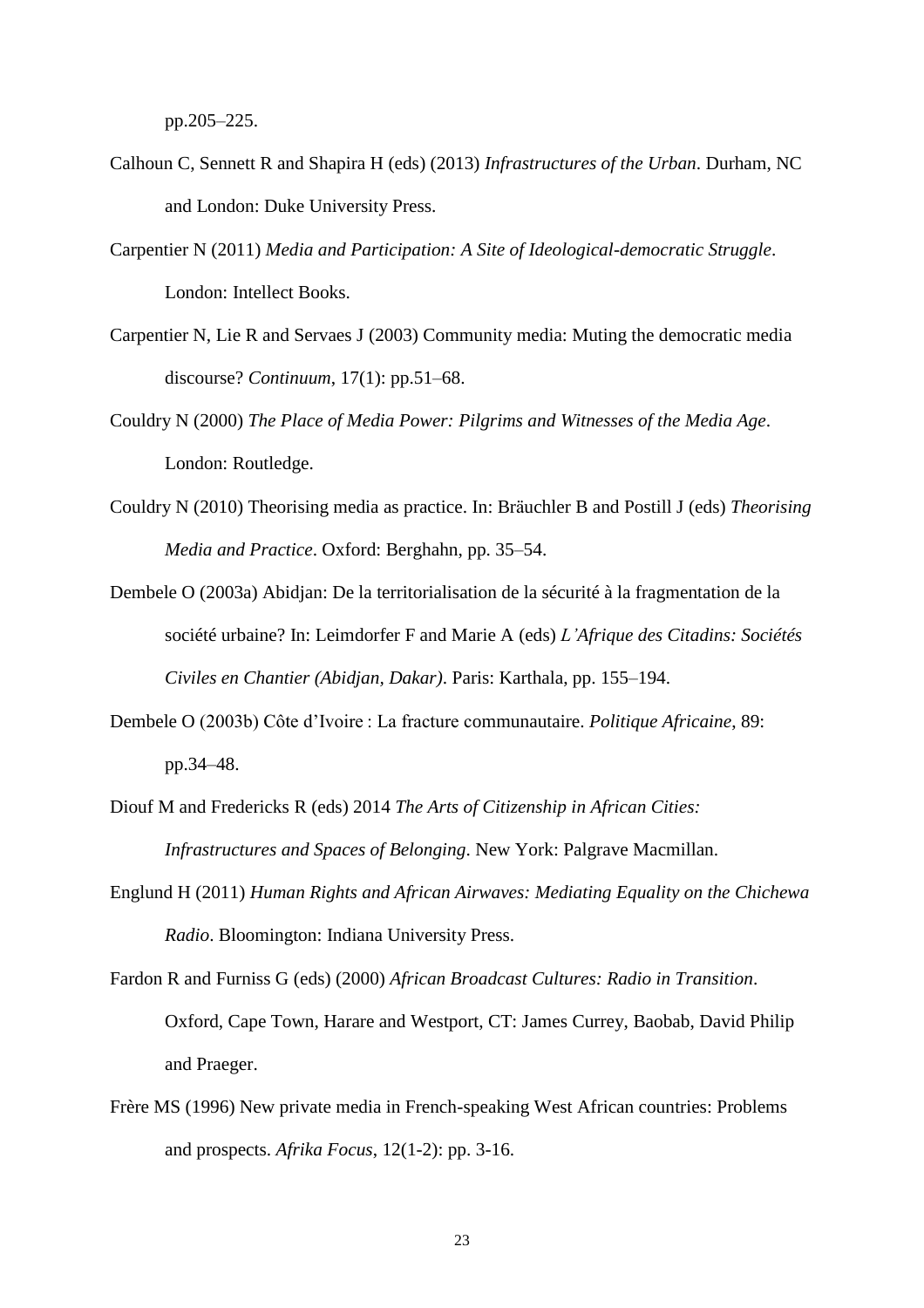pp.205–225.

- Calhoun C, Sennett R and Shapira H (eds) (2013) *Infrastructures of the Urban*. Durham, NC and London: Duke University Press.
- Carpentier N (2011) *Media and Participation: A Site of Ideological-democratic Struggle*. London: Intellect Books.
- Carpentier N, Lie R and Servaes J (2003) Community media: Muting the democratic media discourse? *Continuum*, 17(1): pp.51–68.
- Couldry N (2000) *The Place of Media Power: Pilgrims and Witnesses of the Media Age*. London: Routledge.
- Couldry N (2010) Theorising media as practice. In: Bräuchler B and Postill J (eds) *Theorising Media and Practice*. Oxford: Berghahn, pp. 35–54.
- Dembele O (2003a) Abidjan: De la territorialisation de la sécurité à la fragmentation de la société urbaine? In: Leimdorfer F and Marie A (eds) *L'Afrique des Citadins: Sociétés Civiles en Chantier (Abidjan, Dakar)*. Paris: Karthala, pp. 155–194.
- Dembele O (2003b) Côte d'Ivoire : La fracture communautaire. *Politique Africaine*, 89: pp.34–48.
- Diouf M and Fredericks R (eds) 2014 *The Arts of Citizenship in African Cities: Infrastructures and Spaces of Belonging*. New York: Palgrave Macmillan.
- Englund H (2011) *Human Rights and African Airwaves: Mediating Equality on the Chichewa Radio*. Bloomington: Indiana University Press.
- Fardon R and Furniss G (eds) (2000) *African Broadcast Cultures: Radio in Transition*. Oxford, Cape Town, Harare and Westport, CT: James Currey, Baobab, David Philip and Praeger.
- Frère MS (1996) New private media in French-speaking West African countries: Problems and prospects. *Afrika Focus*, 12(1-2): pp. 3-16.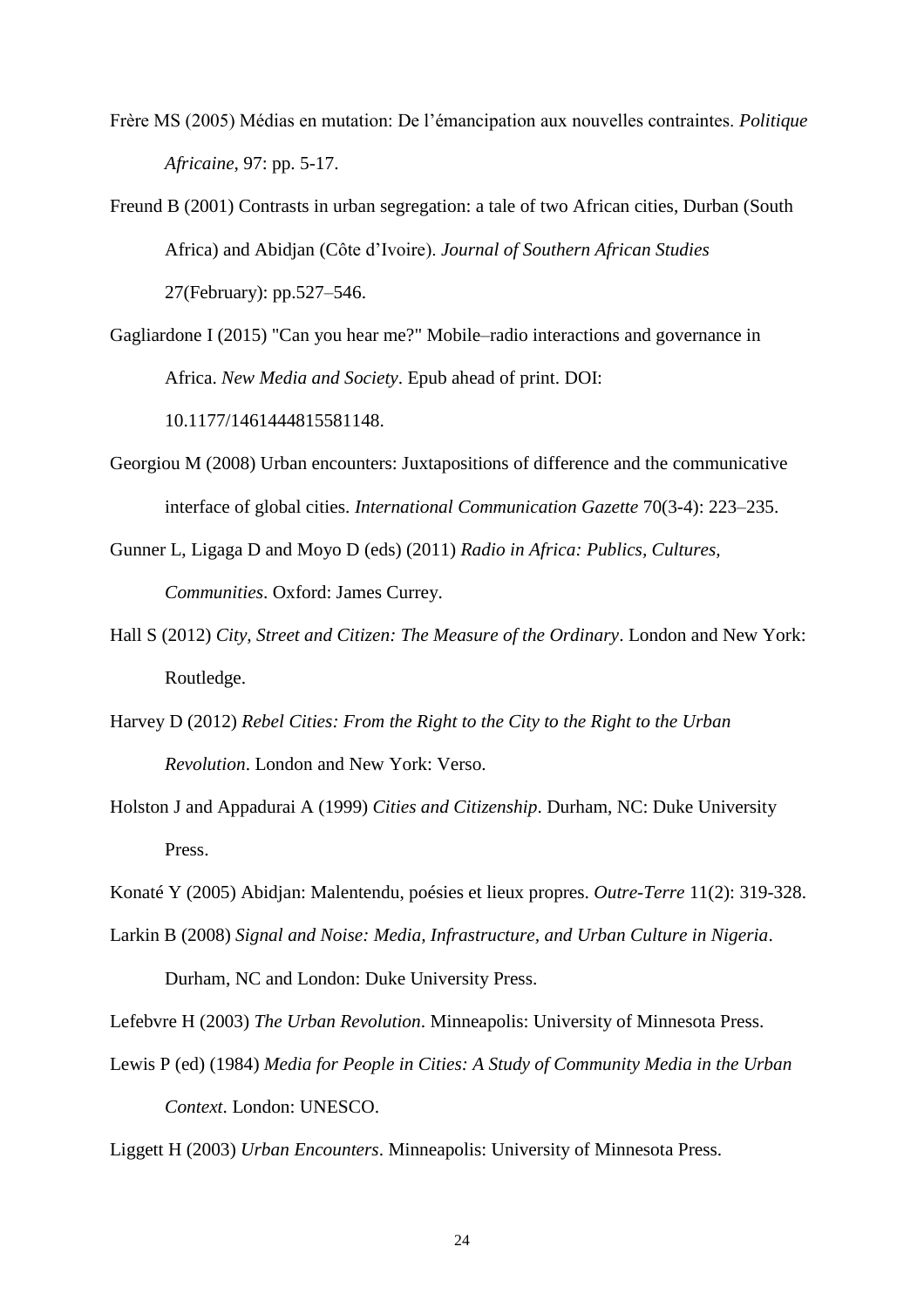- Frère MS (2005) Médias en mutation: De l'émancipation aux nouvelles contraintes. *Politique Africaine*, 97: pp. 5-17.
- Freund B (2001) Contrasts in urban segregation: a tale of two African cities, Durban (South Africa) and Abidjan (Côte d'Ivoire). *Journal of Southern African Studies* 27(February): pp.527–546.
- Gagliardone I (2015) "Can you hear me?" Mobile–radio interactions and governance in Africa. *New Media and Society*. Epub ahead of print. DOI: 10.1177/1461444815581148.
- Georgiou M (2008) Urban encounters: Juxtapositions of difference and the communicative interface of global cities. *International Communication Gazette* 70(3-4): 223–235.
- Gunner L, Ligaga D and Moyo D (eds) (2011) *Radio in Africa: Publics, Cultures, Communities*. Oxford: James Currey.
- Hall S (2012) *City, Street and Citizen: The Measure of the Ordinary*. London and New York: Routledge.
- Harvey D (2012) *Rebel Cities: From the Right to the City to the Right to the Urban Revolution*. London and New York: Verso.
- Holston J and Appadurai A (1999) *Cities and Citizenship*. Durham, NC: Duke University Press.
- Konaté Y (2005) Abidjan: Malentendu, poésies et lieux propres. *Outre-Terre* 11(2): 319-328.
- Larkin B (2008) *Signal and Noise: Media, Infrastructure, and Urban Culture in Nigeria*.

Durham, NC and London: Duke University Press.

Lefebvre H (2003) *The Urban Revolution*. Minneapolis: University of Minnesota Press.

Lewis P (ed) (1984) *Media for People in Cities: A Study of Community Media in the Urban Context*. London: UNESCO.

Liggett H (2003) *Urban Encounters*. Minneapolis: University of Minnesota Press.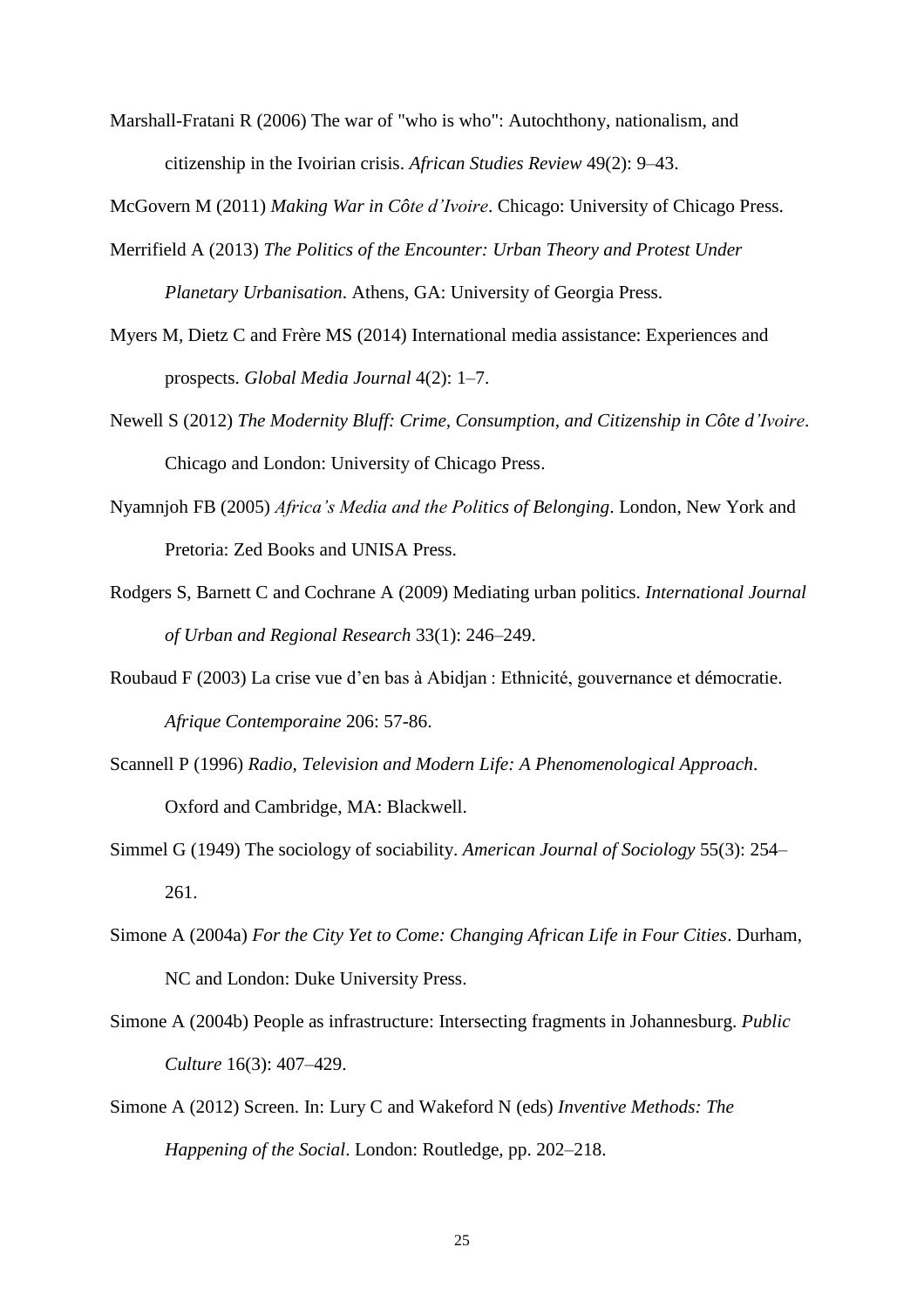Marshall-Fratani R (2006) The war of "who is who": Autochthony, nationalism, and citizenship in the Ivoirian crisis. *African Studies Review* 49(2): 9–43.

McGovern M (2011) *Making War in Côte d'Ivoire*. Chicago: University of Chicago Press.

- Merrifield A (2013) *The Politics of the Encounter: Urban Theory and Protest Under Planetary Urbanisation*. Athens, GA: University of Georgia Press.
- Myers M, Dietz C and Frère MS (2014) International media assistance: Experiences and prospects. *Global Media Journal* 4(2): 1–7.
- Newell S (2012) *The Modernity Bluff: Crime, Consumption, and Citizenship in Côte d'Ivoire*. Chicago and London: University of Chicago Press.
- Nyamnjoh FB (2005) *Africa's Media and the Politics of Belonging*. London, New York and Pretoria: Zed Books and UNISA Press.
- Rodgers S, Barnett C and Cochrane A (2009) Mediating urban politics. *International Journal of Urban and Regional Research* 33(1): 246–249.
- Roubaud F (2003) La crise vue d'en bas à Abidjan : Ethnicité, gouvernance et démocratie. *Afrique Contemporaine* 206: 57-86.
- Scannell P (1996) *Radio, Television and Modern Life: A Phenomenological Approach*. Oxford and Cambridge, MA: Blackwell.
- Simmel G (1949) The sociology of sociability. *American Journal of Sociology* 55(3): 254– 261.
- Simone A (2004a) *For the City Yet to Come: Changing African Life in Four Cities*. Durham, NC and London: Duke University Press.
- Simone A (2004b) People as infrastructure: Intersecting fragments in Johannesburg. *Public Culture* 16(3): 407–429.
- Simone A (2012) Screen. In: Lury C and Wakeford N (eds) *Inventive Methods: The Happening of the Social*. London: Routledge, pp. 202–218.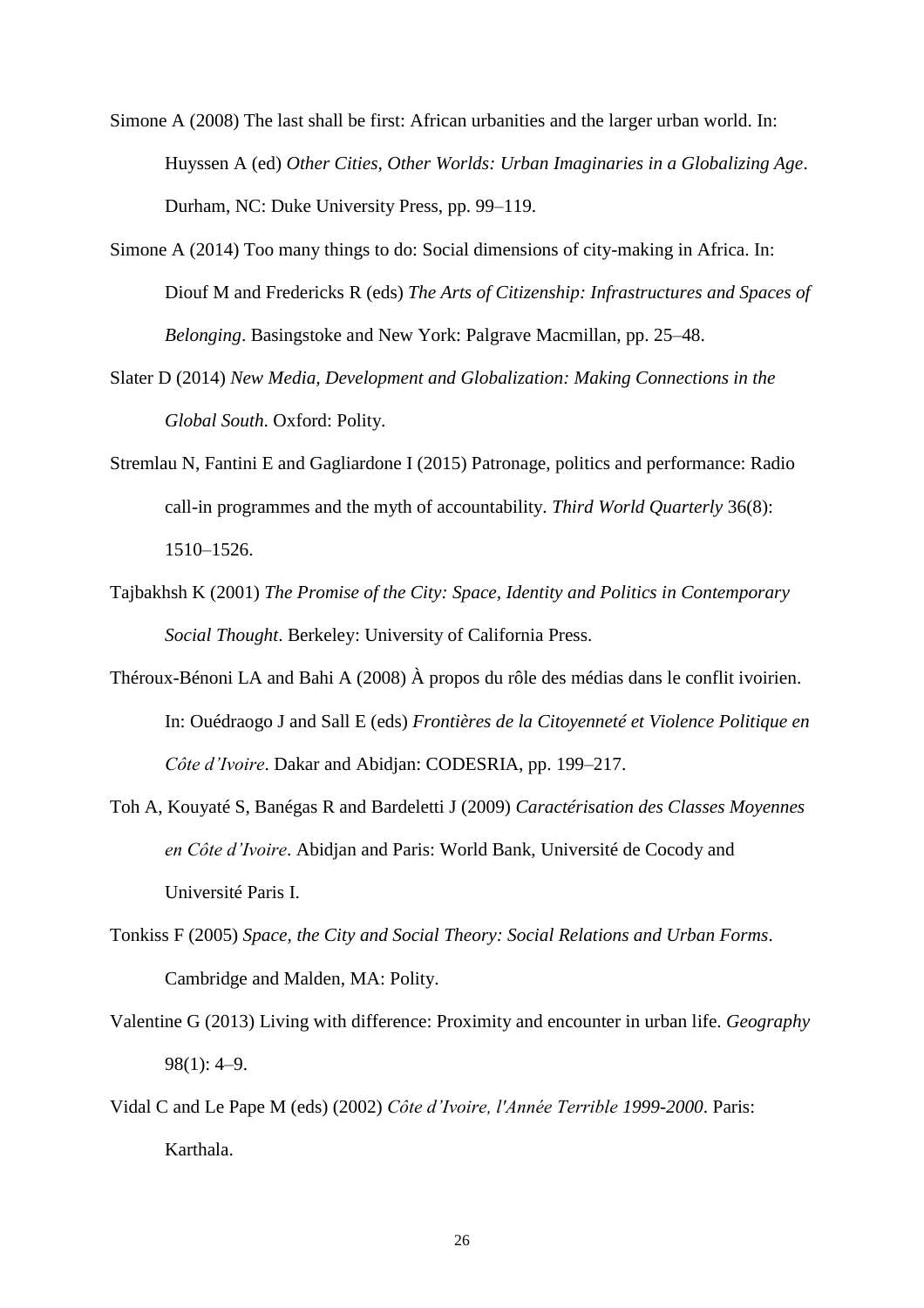- Simone A (2008) The last shall be first: African urbanities and the larger urban world. In: Huyssen A (ed) *Other Cities, Other Worlds: Urban Imaginaries in a Globalizing Age*. Durham, NC: Duke University Press, pp. 99–119.
- Simone A (2014) Too many things to do: Social dimensions of city-making in Africa. In: Diouf M and Fredericks R (eds) *The Arts of Citizenship: Infrastructures and Spaces of Belonging*. Basingstoke and New York: Palgrave Macmillan, pp. 25–48.
- Slater D (2014) *New Media, Development and Globalization: Making Connections in the Global South*. Oxford: Polity.
- Stremlau N, Fantini E and Gagliardone I (2015) Patronage, politics and performance: Radio call-in programmes and the myth of accountability. *Third World Quarterly* 36(8): 1510–1526.
- Tajbakhsh K (2001) *The Promise of the City: Space, Identity and Politics in Contemporary Social Thought*. Berkeley: University of California Press.
- Théroux-Bénoni LA and Bahi A (2008) À propos du rôle des médias dans le conflit ivoirien. In: Ouédraogo J and Sall E (eds) *Frontières de la Citoyenneté et Violence Politique en Côte d'Ivoire*. Dakar and Abidjan: CODESRIA, pp. 199–217.
- Toh A, Kouyaté S, Banégas R and Bardeletti J (2009) *Caractérisation des Classes Moyennes en Côte d'Ivoire*. Abidjan and Paris: World Bank, Université de Cocody and Université Paris I.
- Tonkiss F (2005) *Space, the City and Social Theory: Social Relations and Urban Forms*. Cambridge and Malden, MA: Polity.
- Valentine G (2013) Living with difference: Proximity and encounter in urban life. *Geography* 98(1): 4–9.
- Vidal C and Le Pape M (eds) (2002) *Côte d'Ivoire, l'Année Terrible 1999-2000*. Paris: Karthala.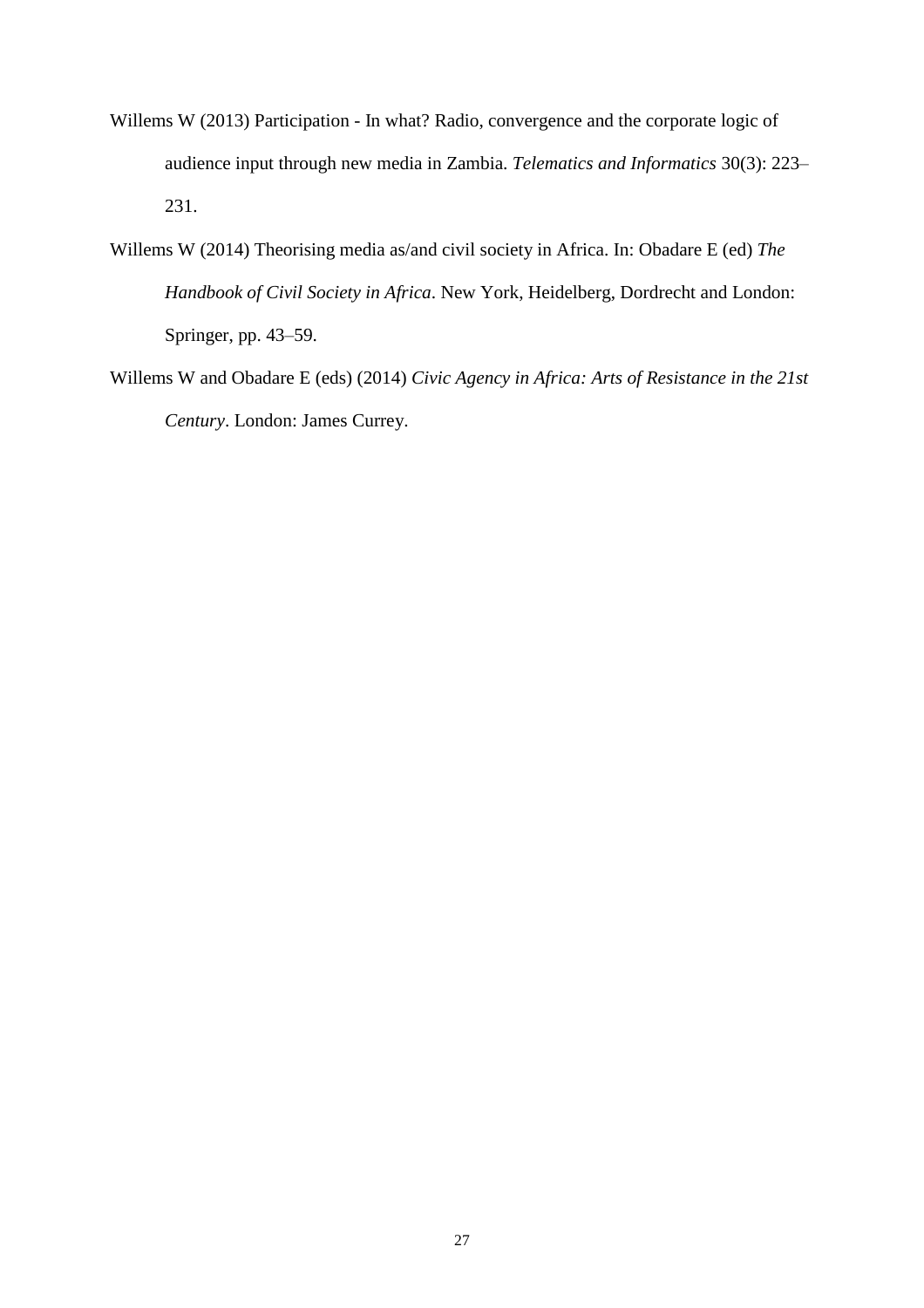- Willems W (2013) Participation In what? Radio, convergence and the corporate logic of audience input through new media in Zambia. *Telematics and Informatics* 30(3): 223– 231.
- Willems W (2014) Theorising media as/and civil society in Africa. In: Obadare E (ed) *The Handbook of Civil Society in Africa*. New York, Heidelberg, Dordrecht and London: Springer, pp. 43–59.
- Willems W and Obadare E (eds) (2014) *Civic Agency in Africa: Arts of Resistance in the 21st Century*. London: James Currey.